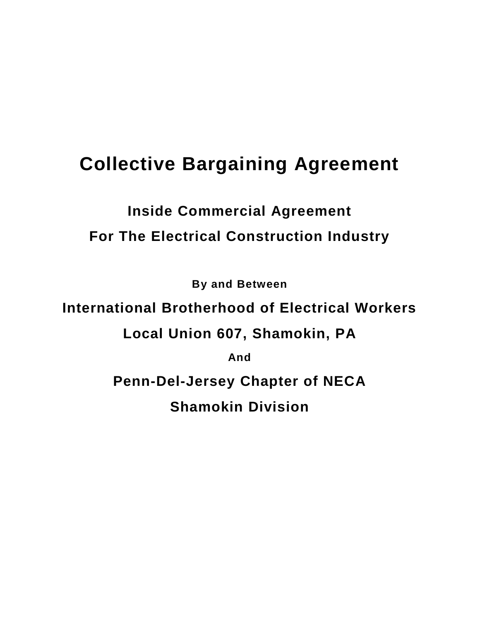# **Collective Bargaining Agreement**

# **Inside Commercial Agreement For The Electrical Construction Industry**

**By and Between**

**International Brotherhood of Electrical Workers**

**Local Union 607, Shamokin, PA**

**And**

**Penn-Del-Jersey Chapter of NECA**

**Shamokin Division**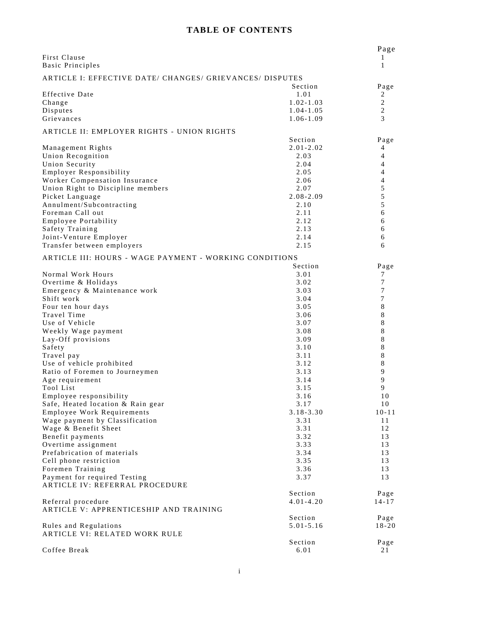# **TABLE OF CONTENTS**

| First Clause                                             |               | Page<br>1<br>1   |
|----------------------------------------------------------|---------------|------------------|
| <b>Basic Principles</b>                                  |               |                  |
| ARTICLE I: EFFECTIVE DATE/ CHANGES/ GRIEVANCES/ DISPUTES |               |                  |
|                                                          | Section       | Page             |
| Effective Date                                           | 1.01          | 2                |
| Change                                                   | $1.02 - 1.03$ | $\mathbf{2}$     |
| Disputes                                                 | $1.04 - 1.05$ | $\boldsymbol{2}$ |
| Grievances                                               | 1.06-1.09     | 3                |
| ARTICLE II: EMPLOYER RIGHTS - UNION RIGHTS               |               |                  |
|                                                          | Section       | Page             |
| Management Rights                                        | $2.01 - 2.02$ | 4                |
| Union Recognition                                        | 2.03          | 4                |
| Union Security                                           | 2.04          | 4                |
| Employer Responsibility                                  | 2.05          | 4                |
| Worker Compensation Insurance                            | 2.06          | 4                |
| Union Right to Discipline members                        | 2.07          | 5                |
| Picket Language                                          | $2.08 - 2.09$ | 5                |
| Annulment/Subcontracting                                 | 2.10          | 5                |
| Foreman Call out                                         | 2.11          | 6                |
| Employee Portability                                     | 2.12          | 6                |
| Safety Training                                          | 2.13          | 6                |
| Joint-Venture Employer                                   | 2.14          | 6                |
| Transfer between employers                               | 2.15          | 6                |
| ARTICLE III: HOURS - WAGE PAYMENT - WORKING CONDITIONS   |               |                  |
|                                                          | Section       | Page             |
| Normal Work Hours                                        | 3.01          | 7                |
| Overtime & Holidays                                      | 3.02          | 7                |
| Emergency & Maintenance work                             | 3.03          | 7                |
| Shift work                                               | 3.04          | 7                |
| Four ten hour days                                       | 3.05          | 8                |
| Travel Time                                              | 3.06          | 8                |
| Use of Vehicle                                           | 3.07          | 8                |
| Weekly Wage payment                                      | 3.08          | 8                |
| Lay-Off provisions                                       | 3.09          | 8<br>8           |
| Safety                                                   | 3.10          | 8                |
| Travel pay<br>Use of vehicle prohibited                  | 3.11<br>3.12  | 8                |
| Ratio of Foremen to Journeymen                           | 3.13          | 9                |
| Age requirement                                          | 3.14          | 9                |
| Tool List                                                | 3.15          | 9                |
| Employee responsibility                                  | 3.16          | 10               |
| Safe, Heated location & Rain gear                        | 3.17          | 10               |
| Employee Work Requirements                               | $3.18 - 3.30$ | $10 - 11$        |
| Wage payment by Classification                           | 3.31          | 11               |
| Wage & Benefit Sheet                                     | 3.31          | 12               |
| Benefit payments                                         | 3.32          | 13               |
| Overtime assignment                                      | 3.33          | 13               |
| Prefabrication of materials                              | 3.34          | 13               |
| Cell phone restriction                                   | 3.35          | 13               |
| Foremen Training                                         | 3.36          | 13               |
| Payment for required Testing                             | 3.37          | 13               |
| ARTICLE IV: REFERRAL PROCEDURE                           |               |                  |
|                                                          | Section       | Page             |
| Referral procedure                                       | $4.01 - 4.20$ | $14 - 17$        |
| ARTICLE V: APPRENTICESHIP AND TRAINING                   |               |                  |
|                                                          | Section       | Page             |
| Rules and Regulations                                    | $5.01 - 5.16$ | $18 - 20$        |
| ARTICLE VI: RELATED WORK RULE                            |               |                  |
|                                                          | Section       | Page             |
| Coffee Break                                             | 6.01          | 21               |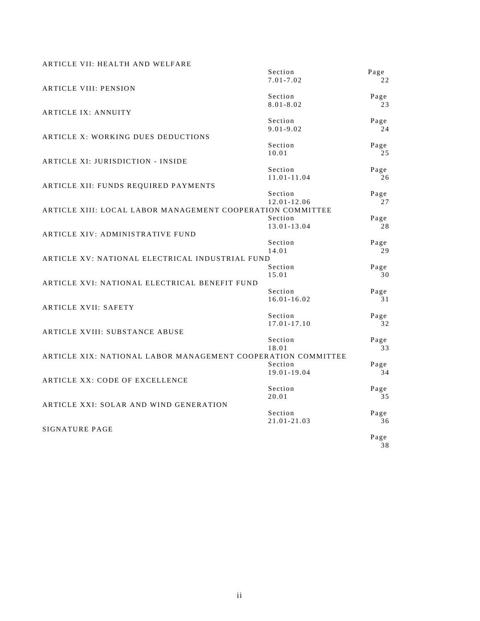| ARTICLE VII: HEALTH AND WELFARE                              |               |                 |
|--------------------------------------------------------------|---------------|-----------------|
|                                                              | Section       | Page            |
|                                                              | 7.01-7.02     | 22              |
| <b>ARTICLE VIII: PENSION</b>                                 |               |                 |
|                                                              | Section       | Page            |
|                                                              | $8.01 - 8.02$ | 23              |
| <b>ARTICLE IX: ANNUITY</b>                                   |               |                 |
|                                                              |               |                 |
|                                                              | Section       | Page            |
|                                                              | $9.01 - 9.02$ | 24              |
| ARTICLE X: WORKING DUES DEDUCTIONS                           |               |                 |
|                                                              | Section       | Page            |
|                                                              | 10.01         | 25              |
| ARTICLE XI: JURISDICTION - INSIDE                            |               |                 |
|                                                              | Section       | Page            |
|                                                              | 11.01-11.04   | 26              |
| ARTICLE XII: FUNDS REQUIRED PAYMENTS                         |               |                 |
|                                                              | Section       | Page            |
|                                                              | 12.01-12.06   | 27              |
| ARTICLE XIII: LOCAL LABOR MANAGEMENT COOPERATION COMMITTEE   |               |                 |
|                                                              | Section       | Page            |
|                                                              | 13.01-13.04   | 28              |
|                                                              |               |                 |
| ARTICLE XIV: ADMINISTRATIVE FUND                             |               |                 |
|                                                              | Section       | Page            |
|                                                              | 14.01         | 29              |
| ARTICLE XV: NATIONAL ELECTRICAL INDUSTRIAL FUND              |               |                 |
|                                                              | Section       | Page            |
|                                                              | 15.01         | 30              |
| ARTICLE XVI: NATIONAL ELECTRICAL BENEFIT FUND                |               |                 |
|                                                              | Section       | $\rm Page$      |
|                                                              | 16.01-16.02   | 31              |
| <b>ARTICLE XVII: SAFETY</b>                                  |               |                 |
|                                                              | Section       | Page            |
|                                                              | 17.01-17.10   | 32              |
| ARTICLE XVIII: SUBSTANCE ABUSE                               |               |                 |
|                                                              | Section       | Page            |
|                                                              | 18.01         | 33              |
|                                                              |               |                 |
| ARTICLE XIX: NATIONAL LABOR MANAGEMENT COOPERATION COMMITTEE |               |                 |
|                                                              | Section       | $\mathbf{Page}$ |
|                                                              | 19.01-19.04   | 34              |
| ARTICLE XX: CODE OF EXCELLENCE                               |               |                 |
|                                                              | Section       | Page            |
|                                                              | 20.01         | 35              |
| ARTICLE XXI: SOLAR AND WIND GENERATION                       |               |                 |
|                                                              | Section       | Page            |
|                                                              | 21.01-21.03   | 36              |
| <b>SIGNATURE PAGE</b>                                        |               |                 |
|                                                              |               | Page            |
|                                                              |               | 38              |
|                                                              |               |                 |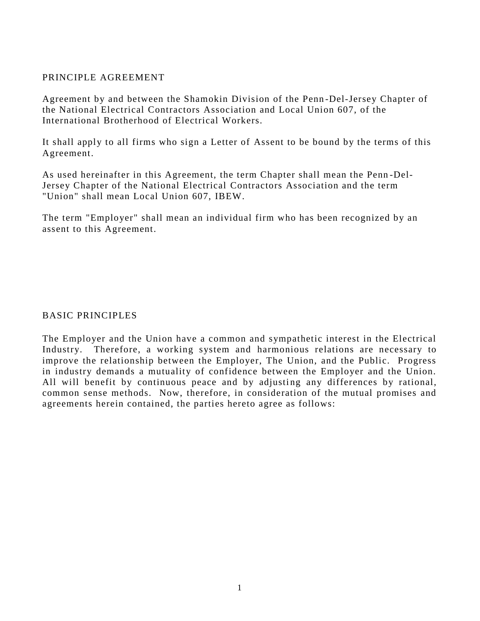# PRINCIPLE AGREEMENT

Agreement by and between the Shamokin Division of the Penn -Del-Jersey Chapter of the National Electrical Contractors Association and Local Union 607, of the International Brotherhood of Electrical Workers.

It shall apply to all firms who sign a Letter of Assent to be bound by the terms of this Agreement.

As used hereinafter in this Agreement, the term Chapter shall mean the Penn -Del-Jersey Chapter of the National Electrical Contractors Association and the term "Union" shall mean Local Union 607, IBEW.

The term "Employer" shall mean an individual firm who has been recognized by an assent to this Agreement.

# BASIC PRINCIPLES

The Employer and the Union have a common and sympathetic interest in the Electrical Industry. Therefore, a working system and harmonious relations are necessary to improve the relationship between the Employer, The Union, and the Public. Progress in industry demands a mutuality of confidence between the Employer and the Union. All will benefit by continuous peace and by adjusting any differences by rational, common sense methods. Now, therefore, in consideration of the mutual promises and agreements herein contained, the parties hereto agree as follows: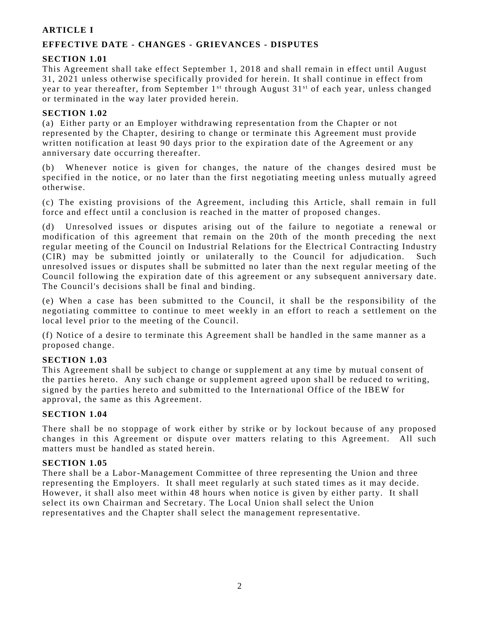# **ARTICLE I**

# **EFFECTIVE DATE - CHANGES - GRIEVANCES - DISPUTES**

#### **SECTION 1.01**

This Agreement shall take effect September 1, 2018 and shall remain in effect until August 31, 2021 unless otherwise specifically provided for herein. It shall continue in effect from year to year thereafter, from September  $1^{st}$  through August  $31^{st}$  of each year, unless changed or terminated in the way later provided herein.

#### **SECTION 1.02**

(a) Either party or an Employer withdrawing representation from the Chapter or not represented by the Chapter, desiring to change or terminate this Agreement must provide written notification at least 90 days prior to the expiration date of the Agreement or any anniversary date occurring thereafter.

(b) Whenever notice is given for changes, the nature of the changes desired must be specified in the notice, or no later than the first negotiating meeting unless mutually agreed otherwise.

(c) The existing provisions of the Agreement, including this Article, shall remain in full force and effect until a conclusion is reached in the matter of proposed changes.

(d) Unresolved issues or disputes arising out of the failure to negotiate a renewal or modification of this agreement that remain on the 20th of the month preceding the next regular meeting of the Council on Industrial Relations for the Electrical Contracting Industry (CIR) may be submitted jointly or unilaterally to the Council for adjudication. Such unresolved issues or disputes shall be submitted no later than the next regular meeting of the Council following the expiration date of this agreement or any subsequent anniversary date. The Council's decisions shall be final and binding.

(e) When a case has been submitted to the Council, it shall be the responsibility of the negotiating committee to continue to meet weekly in an effort to reach a settlement on the local level prior to the meeting of the Council.

(f) Notice of a desire to terminate this Agreement shall be handled in the same manner as a proposed change.

#### **SECTION 1.03**

This Agreement shall be subject to change or supplement at any time by mutual consent of the parties hereto. Any such change or supplement agreed upon shall be reduced to writing, signed by the parties hereto and submitted to the International Office of the IBEW for approval, the same as this Agreement.

#### **SECTION 1.04**

There shall be no stoppage of work either by strike or by lockout because of any proposed changes in this Agreement or dispute over matters relating to this Agreement. All such matters must be handled as stated herein.

#### **SECTION 1.05**

There shall be a Labor-Management Committee of three representing the Union and three representing the Employers. It shall meet regularly at such stated times as it may decide. However, it shall also meet within 48 hours when notice is given by either party. It shall select its own Chairman and Secretary. The Local Union shall select the Union representatives and the Chapter shall select the management representative.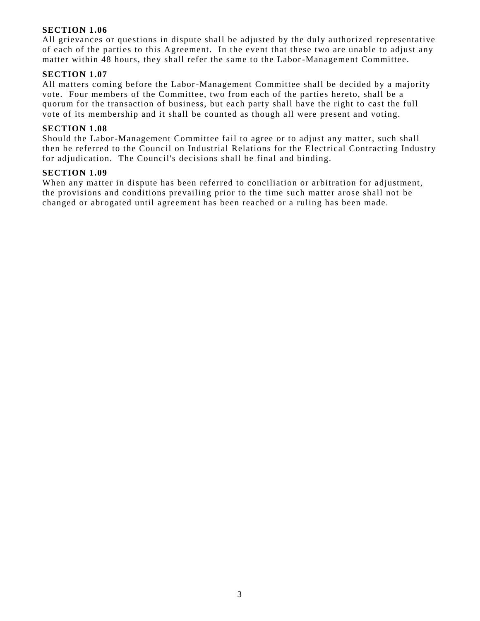# **SECTION 1.06**

All grievances or questions in dispute shall be adjusted by the duly authorized representative of each of the parties to this Agreement. In the event that these two are unable to adjust any matter within 48 hours, they shall refer the same to the Labor-Management Committee.

#### **SECTION 1.07**

All matters coming before the Labor-Management Committee shall be decided by a majority vote. Four members of the Committee, two from each of the parties hereto, shall be a quorum for the transaction of business, but each party shall have the right to cast the full vote of its membership and it shall be counted as though all were present and voting.

#### **SECTION 1.08**

Should the Labor-Management Committee fail to agree or to adjust any matter, such shall then be referred to the Council on Industrial Relations for the Electrical Contracting Industry for adjudication. The Council's decisions shall be final and binding.

#### **SECTION 1.09**

When any matter in dispute has been referred to conciliation or arbitration for adjustment, the provisions and conditions prevailing prior to the time such matter arose shall not be changed or abrogated until agreement has been reached or a ruling has been made.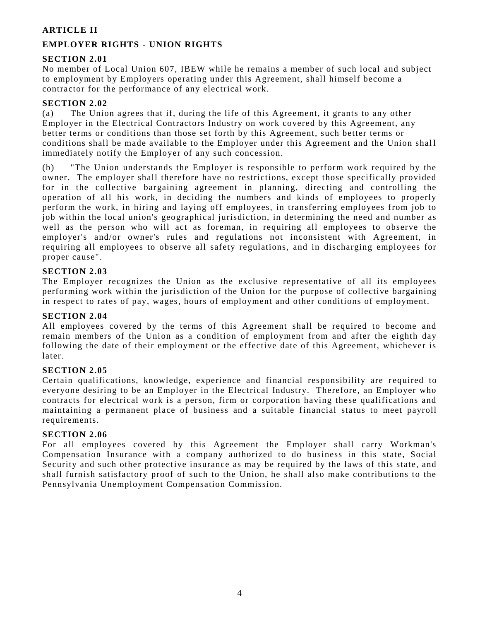# **ARTICLE II**

# **EMPLOYER RIGHTS - UNION RIGHTS**

### **SECTION 2.01**

No member of Local Union 607, IBEW while he remains a member of such local and subject to employment by Employers operating under this Agreement, shall himself become a contractor for the performance of any electrical work.

#### **SECTION 2.02**

(a) The Union agrees that if, during the life of this Agreement, it grants to any other Employer in the Electrical Contractors Industry on work covered by this Agreement, any better terms or conditions than those set forth by this Agreement, such better terms or conditions shall be made available to the Employer under this Agreement and the Union shall immediately notify the Employer of any such concession.

(b) "The Union understands the Employer is responsible to perform work required by the owner. The employer shall therefore have no restrictions, except those specifically provided for in the collective bargaining agreement in planning, directing and controlling the operation of all his work, in deciding the numbers and kinds of employees to properly perform the work, in hiring and laying off employees, in transferring employees from job to job within the local union's geographical jurisdiction, in determining the need and number as well as the person who will act as foreman, in requiring all employees to observe the employer's and/or owner's rules and regulations not inconsistent with Agreement, in requiring all employees to observe all safety regulations, and in discharging employees for proper cause".

### **SECTION 2.03**

The Employer recognizes the Union as the exclusive representative of all its employees performing work within the jurisdiction of the Union for the purpose of collective bargaining in respect to rates of pay, wages, hours of employment and other conditions of employment.

#### **SECTION 2.04**

All employees covered by the terms of this Agreement shall be required to become and remain members of the Union as a condition of employment from and after the eighth day following the date of their employment or the effective date of this Agreement, whichever is later.

#### **SECTION 2.05**

Certain qualifications, knowledge, experience and financial responsibility are required to everyone desiring to be an Employer in the Electrical Industry. Therefore, an Employer who contracts for electrical work is a person, firm or corporation having these qualifications and maintaining a permanent place of business and a suitable financial status to meet payroll requirements.

#### **SECTION 2.06**

For all employees covered by this Agreement the Employer shall carry Workman's Compensation Insurance with a company authorized to do business in this state, Social Security and such other protective insurance as may be required by the laws of this state, and shall furnish satisfactory proof of such to the Union, he shall also make contributions to the Pennsylvania Unemployment Compensation Commission.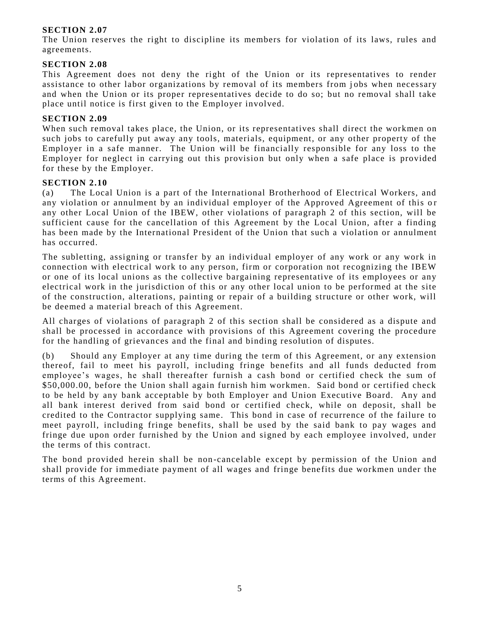# **SECTION 2.07**

The Union reserves the right to discipline its members for violation of its laws, rules and agreements.

#### **SECTION 2.08**

This Agreement does not deny the right of the Union or its representatives to render assistance to other labor organizations by removal of its members from jobs when necessary and when the Union or its proper representatives decide to do so; but no removal shall take place until notice is first given to the Employer involved.

#### **SECTION 2.09**

When such removal takes place, the Union, or its representatives shall direct the workmen on such jobs to carefully put away any tools, materials, equipment, or any other property of the Employer in a safe manner. The Union will be financially responsible for any loss to the Employer for neglect in carrying out this provision but only when a safe place is provided for these by the Employer.

#### **SECTION 2.10**

(a) The Local Union is a part of the International Brotherhood of Electrical Workers, and any violation or annulment by an individual employer of the Approved Agreement of this or any other Local Union of the IBEW, other violations of paragraph 2 of this section, will be sufficient cause for the cancellation of this Agreement by the Local Union, after a finding has been made by the International President of the Union that such a violation or annulment has occurred.

The subletting, assigning or transfer by an individual employer of any work or any work in connection with electrical work to any person, firm or corporation not recognizing the IBEW or one of its local unions as the c ollective bargaining representative of its employees or any electrical work in the jurisdiction of this or any other local union to be performed at the site of the construction, alterations, painting or repair of a building structure or other work, will be deemed a material breach of this Agreement.

All charges of violations of paragraph 2 of this section shall be considered as a dispute and shall be processed in accordance with provisions of this Agreement covering the procedure for the handling of grievances and the final and binding resolution of disputes.

(b) Should any Employer at any time during the term of this Agreement, or any extension thereof, fail to meet his payroll, including fringe benefits and all funds deducted from employee's wages, he shall thereafter furnish a cash bond or certified check the sum of \$50,000.00, before the Union shall again furnish him workmen. Said bond or certified check to be held by any bank acceptable by both Employer and Union Executive Board. Any and all bank interest derived from said bond or certified check, while on deposit, shall be credited to the Contractor supplying same. This bond in case of recurrence of the failure to meet payroll, including fringe benefits, shall be used by the said bank to pay wages and fringe due upon order furnished by the Union and signed by each employee involved, under the terms of this contract.

The bond provided herein shall be non -cancelable except by permission of the Union and shall provide for immediate payment of all wages and fringe benefits due workmen under the terms of this Agreement.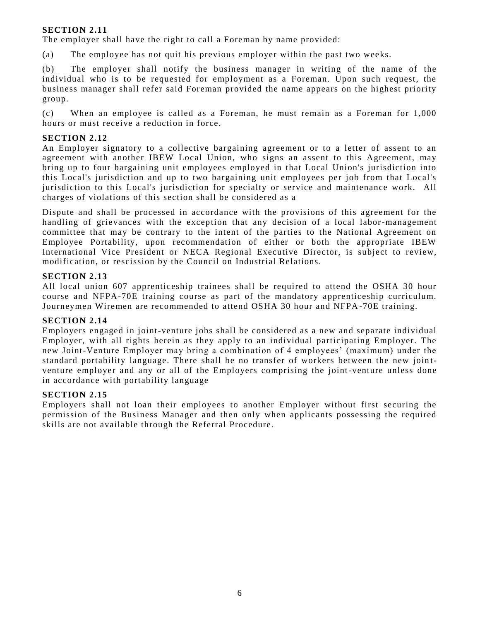# **SECTION 2.11**

The employer shall have the right to call a Foreman by name provided:

(a) The employee has not quit his previous employer within the past two weeks.

(b) The employer shall notify the business manager in writing of the name of the individual who is to be requested for employment as a Foreman. Upon such request, the business manager shall refer said Foreman provided the name appears on the highest priority group.

(c) When an employee is called as a Foreman, he must remain as a Foreman for 1,000 hours or must receive a reduction in force.

### **SECTION 2.12**

An Employer signatory to a collective bargaining agreement or to a letter of assent to an agreement with another IBEW Local Union, who signs an assent to this Agreement, may bring up to four bargaining unit employees employed in that Local Union's jurisdiction into this Local's jurisdiction and up to two bargaining unit employees per job from that Local's jurisdiction to this Local's jurisdiction for specialty or service and maintenance work. All charges of violations of this section shall be considered as a

Dispute and shall be processed in accordance with the provisions of this agreement for the handling of grievances with the exception that any decision of a local labor-management committee that may be contrary to the intent of the parties to the National Agreement on Employee Portability, upon recommendation of either or both the appropriate IBEW International Vice President or NECA Regional Executive Director, is subject to review, modification, or rescission by the Council on Industrial Relations.

### **SECTION 2.13**

All local union 607 apprenticeship trainees shall be required to attend the OSHA 30 hour course and NFPA-70E training course as part of the mandatory apprenticeship curriculum. Journeymen Wiremen are recommended to attend OSHA 30 hour and NFPA -70E training.

#### **SECTION 2.14**

Employers engaged in joint-venture jobs shall be considered as a new and separate individual Employer, with all rights herein as they apply to an individual participating Employer. The new Joint-Venture Employer may bring a combination of 4 employees' (maximum) under the standard portability language. There shall be no transfer of workers between the new join tventure employer and any or all of the Employers comprising the joint-venture unless done in accordance with portability language

#### **SECTION 2.15**

Employers shall not loan their employees to another Employer without first securing the permission of the Business Manager and then only when applicants possessing the required skills are not available through the Referral Procedure.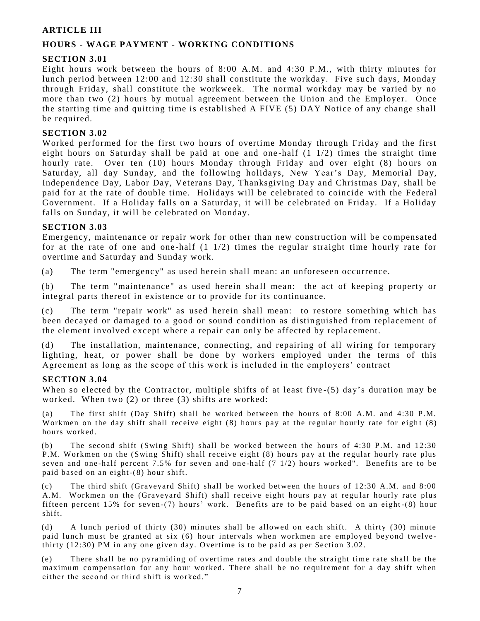# **ARTICLE III**

#### **HOURS - WAGE PAYMENT - WORKING CONDITIONS**

#### **SECTION 3.01**

Eight hours work between the hours of 8:00 A.M. and 4:30 P.M., with thirty minutes for lunch period between 12:00 and 12:30 shall constitute the workday. Five such days, Monday through Friday, shall constitute the workweek. The normal workday may be varied by no more than two (2) hours by mutual agreement between the Union and the Employer. Once the starting time and quitting time is established A FIVE (5) DAY Notice of any change shall be required.

#### **SECTION 3.02**

Worked performed for the first two hours of overtime Monday through Friday and the first eight hours on Saturday shall be paid at one and one-half  $(1\ 1/2)$  times the straight time hourly rate. Over ten (10) hours Monday through Friday and over eight (8) hours on Saturday, all day Sunday, and the following holidays, New Year's Day, Memorial Day, Independence Day, Labor Day, Veterans Day, Thanksgiving Day and Christmas Day, shall be paid for at the rate of double time. Holidays will be celebrated to coincide with the Federal Government. If a Holiday falls on a Saturday, it will be celebrated on Friday. If a Holiday falls on Sunday, it will be celebrated on Monday.

#### **SECTION 3.03**

Emergency, maintenance or repair work for other than new construction will be co mpensated for at the rate of one and one-half  $(1\ 1/2)$  times the regular straight time hourly rate for overtime and Saturday and Sunday work.

(a) The term "emergency" as used herein shall mean: an unforeseen occurrence.

(b) The term "maintenance" as used herein shall mean: the act of keeping property or integral parts thereof in existence or to provide for its continuance.

(c) The term "repair work" as used herein shall mean: to restore something which has been decayed or damaged to a good or sound condition as distin guished from replacement of the element involved except where a repair can only be affected by replacement.

(d) The installation, maintenance, connecting, and repairing of all wiring for temporary lighting, heat, or power shall be done by workers employed under the terms of this Agreement as long as the scope of this work is included in the employers' contract

#### **SECTION 3.04**

When so elected by the Contractor, multiple shifts of at least five-(5) day's duration may be worked. When two (2) or three (3) shifts are worked:

(a) The first shift (Day Shift) shall be worked between the hours of 8:00 A.M. and 4:30 P.M. Workmen on the day shift shall receive eight  $(8)$  hours pay at the regular hourly rate for eight  $(8)$ hours worked.

(b) The second shift (Swing Shift) shall be worked between the hours of 4:30 P.M. and 12:30 P.M. Workmen on the (Swing Shift) shall receive eight (8) hours pay at the regular hourly rate plus seven and one-half percent  $7.5\%$  for seven and one-half  $(7\frac{1}{2})$  hours worked". Benefits are to be paid based on an eight-(8) hour shift.

(c) The third shift (Graveyard Shift) shall be worked between the hours of 12:30 A.M. and 8:00 A.M. Workmen on the (Graveyard Shift) shall receive eight hours pay at regular hourly rate plus fifteen percent 15% for seven-(7) hours' work. Benefits are to be paid based on an eight-(8) hour shift.

(d) A lunch period of thirty (30) minutes shall be allowed on each shift. A thirty (30) minute paid lunch must be granted at six (6) hour intervals when workmen are employed beyond twelve thirty (12:30) PM in any one given day. Overtime is to be paid as per Section 3.02.

(e) There shall be no pyramiding of overtime rates and double the straight time rate shall be the maximum compensation for any hour worked. There shall be no requirement for a day shift when either the second or third shift is worked."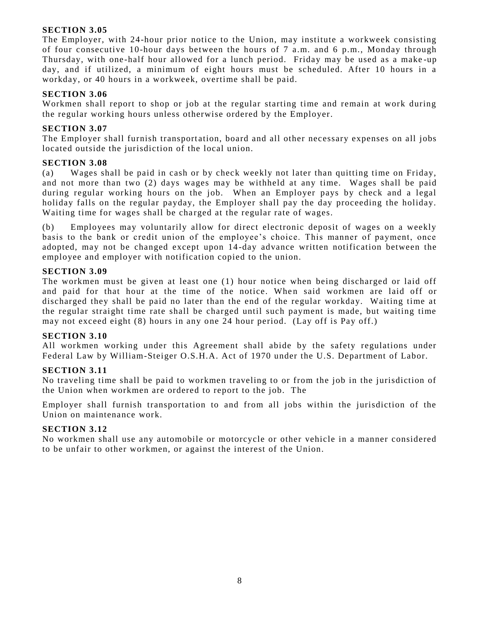The Employer, with 24-hour prior notice to the Union, may institute a workweek consisting of four consecutive 10-hour days between the hours of 7 a.m. and 6 p.m., Monday through Thursday, with one -half hour allowed for a lunch period. Friday may be used as a make -up day, and if utilized, a minimum of eight hours must be scheduled. After 10 hours in a workday, or 40 hours in a workweek, overtime shall be paid.

### **SECTION 3.06**

Workmen shall report to shop or job at the regular starting time and remain at work during the regular working hours unless otherwise ordered by the Employer.

#### **SECTION 3.07**

The Employer shall furnish transportation, board and all other necessary expenses on all jobs located outside the jurisdiction of the local union.

#### **SECTION 3.08**

(a) Wages shall be paid in cash or by check weekly not later than quitting time on Friday, and not more than two (2) days wages may be withheld at any time. Wages shall be paid during regular working hours on the job. When an Employer pays by check and a legal holiday falls on the regular payday, the Employer shall pay the day proceeding the holiday. Waiting time for wages shall be charged at the regular rate of wages.

(b) Employees may voluntarily allow for direct electronic deposit of wages on a weekly basis to the bank or credit union of the employee's choice. This manner of payment, once adopted, may not be changed except upon 14 -day advance written notification between the employee and employer with notification copied to the union.

### **SECTION 3.09**

The workmen must be given at least one (1) hour notice when being discharged or laid off and paid for that hour at the time of the notice. When said workmen are laid off or discharged they shall be paid no later than the end of the regular workday. Waiting time at the regular straight time rate shall be charged until such payment is made, but waiting time may not exceed eight (8) hours in any o ne 24 hour period. (Lay off is Pay off.)

#### **SECTION 3.10**

All workmen working under this Agreement shall abide by the safety regulations under Federal Law by William-Steiger O.S.H.A. Act of 1970 under the U.S. Department of Labor.

#### **SECTION 3.11**

No traveling time shall be paid to workmen traveling to or from the job in the jurisdiction of the Union when workmen are ordered to report to the job. The

Employer shall furnish transportation to and from all jobs within the jurisdiction of the Union on maintenance work.

#### **SECTION 3.12**

No workmen shall use any automobile or motorcycle or other vehicle in a manner considered to be unfair to other workmen, or against the interest of the Union.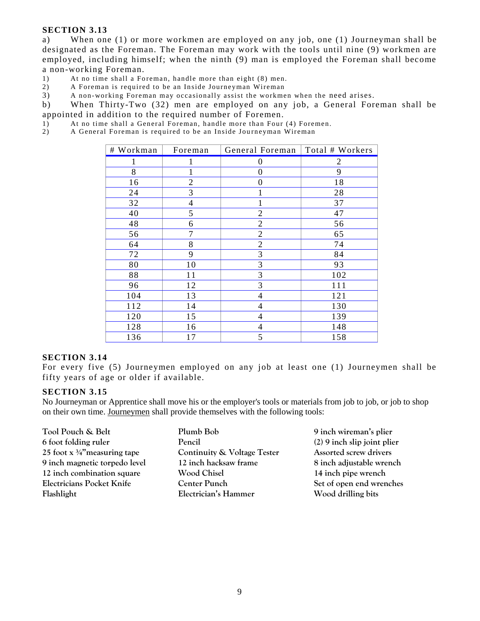a) When one (1) or more workmen are employed on any job, one (1) Journeyman shall be designated as the Foreman. The Foreman may work with the tools until nine (9) workmen are employed, including himself; when the ninth (9) man is employed the Foreman shall become a non-working Foreman.

1) At no time shall a Foreman, handle more than eight (8) men.

2) A Foreman is required to be an Inside Journeyman Wireman

3) A non-working Foreman may occasionally assist the workmen when the need arises.

b) When Thirty-Two (32) men are employed on any job, a General Foreman shall be appointed in addition to the required number of Foremen.

1) At no time shall a General Foreman, handle more than Four (4) Foremen.

2) A General Foreman is required to be an Inside Journeyman Wireman

| # Workman | Foreman        | General Foreman  | Total # Workers |
|-----------|----------------|------------------|-----------------|
|           | 1              | $\overline{0}$   | 2               |
| 8         | 1              | $\overline{0}$   | 9               |
| 16        | $\overline{2}$ | $\boldsymbol{0}$ | 18              |
| 24        | 3              | 1                | 28              |
| 32        | $\overline{4}$ | 1                | 37              |
| 40        | 5              | $\overline{2}$   | 47              |
| 48        | 6              | $\overline{2}$   | 56              |
| 56        | 7              | $\overline{2}$   | 65              |
| 64        | 8              | $\overline{2}$   | 74              |
| 72        | 9              | 3                | 84              |
| 80        | 10             | 3                | 93              |
| 88        | 11             | 3                | 102             |
| 96        | 12             | 3                | 111             |
| 104       | 13             | $\overline{4}$   | 121             |
| 112       | 14             | $\overline{4}$   | 130             |
| 120       | 15             | 4                | 139             |
| 128       | 16             | $\overline{4}$   | 148             |
| 136       | 17             | 5                | 158             |

#### **SECTION 3.14**

For every five (5) Journeymen employed on any job at least one (1) Journeymen shall be fifty years of age or older if available.

#### **SECTION 3.15**

No Journeyman or Apprentice shall move his or the employer's tools or materials from job to job, or job to shop on their own time. Journeymen shall provide themselves with the following tools:

| Tool Pouch & Belt                        | Plumb Bob                   | 9 inch wireman's plier        |
|------------------------------------------|-----------------------------|-------------------------------|
| 6 foot folding ruler                     | Pencil                      | $(2)$ 9 inch slip joint plier |
| 25 foot x $\frac{3}{4}$ " measuring tape | Continuity & Voltage Tester | Assorted screw drivers        |
| 9 inch magnetic torpedo level            | 12 inch hacksaw frame       | 8 inch adjustable wrench      |
| 12 inch combination square               | <b>Wood Chisel</b>          | 14 inch pipe wrench           |
| <b>Electricians Pocket Knife</b>         | <b>Center Punch</b>         | Set of open end wrenches      |
| Flashlight                               | Electrician's Hammer        | Wood drilling bits            |
|                                          |                             |                               |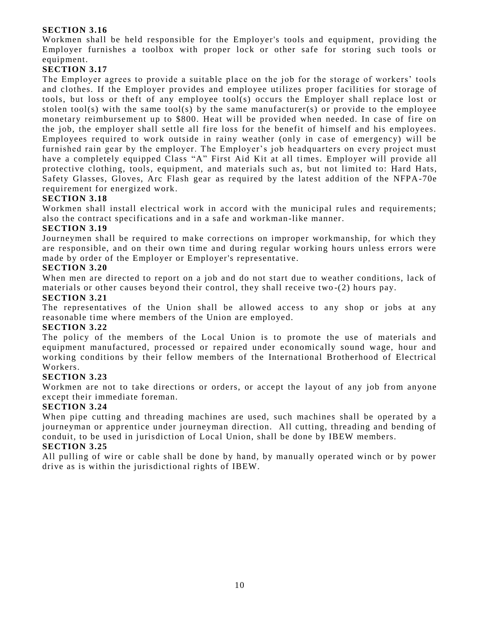Workmen shall be held responsible for the Employer's tools and equipment, providing the Employer furnishes a toolbox with proper lock or other safe for storing such tools or equipment.

# **SECTION 3.17**

The Employer agrees to provide a suitable place on the job for the storage of workers' tools and clothes. If the Employer provides and employee utilizes proper facilities for storage of tools, but loss or theft of any employee tool(s) occurs the Employer shall replace lost or stolen tool(s) with the same tool(s) by the same manufacturer(s) or provide to the employee monetary reimbursement up to \$800. Heat will be provided when needed. In case of fire on the job, the employer shall settle all fire loss for the benefit of himself and his employees. Employees required to work outside in rainy weather (only in case of emergency) will be furnished rain gear by the employer. The Employer's job headquarters on every project must have a completely equipped Class "A" First Aid Kit at all times. Employer will provide all protective clothing, tools, equipment, and materials such as, but not limited to: Hard Hats, Safety Glasses, Gloves, Arc Flash gear as required by the latest addition of the NFPA-70e requirement for energized work.

### **SECTION 3.18**

Workmen shall install electrical work in accord with the municipal rules and requirements; also the contract specifications and in a safe and workman -like manner.

### **SECTION 3.19**

Journeymen shall be required to make corrections on improper workmanship, for which they are responsible, and on their own time and during regular working hours unless errors were made by order of the Employer or Employer's representative.

### **SECTION 3.20**

When men are directed to report on a job and do not start due to weather conditions, lack of materials or other causes beyond their control, they shall receive two -(2) hours pay.

### **SECTION 3.21**

The representatives of the Union shall be allowed access to any shop or jobs at any reasonable time where members of the Union are employed.

#### **SECTION 3.22**

The policy of the members of the Local Union is to promote the use of materials and equipment manufactured, processed or repaired under economically sound wage, hour and working conditions by their fellow members of the International Brotherhood of Electrical Workers.

#### **SECTION 3.23**

Workmen are not to take directions or orders, or accept the layout of any job from anyone except their immediate foreman.

#### **SECTION 3.24**

When pipe cutting and threading machines are used, such machines shall be operated by a journeyman or apprentice under journeyman direction. All cutting, threading and bending of conduit, to be used in jurisdiction of Local Union, shall be done by IBEW members.

#### **SECTION 3.25**

All pulling of wire or cable shall be done by hand, by manually operated winch or by power drive as is within the jurisdictional rights of IBEW.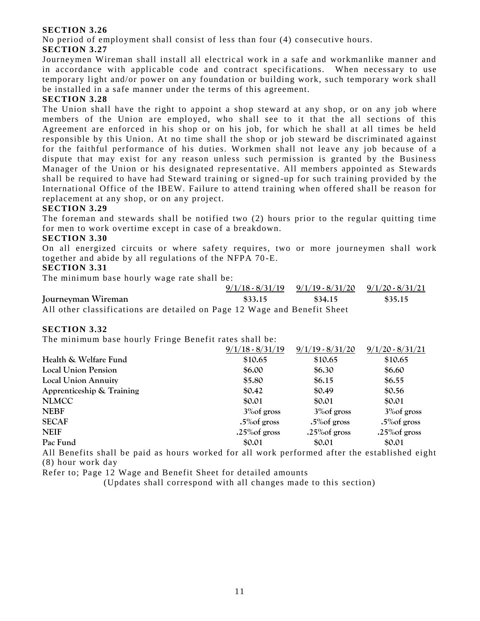No period of employment shall consist of less than four (4) consecutive hours.

### **SECTION 3.27**

Journeymen Wireman shall install all electrical work in a safe and workmanlike manner and in accordance with applicable code and contract specifications. When necessary to use temporary light and/or power on any foundation or building work, such temporary work shall be installed in a safe manner under the terms of this agreement.

### **SECTION 3.28**

The Union shall have the right to appoint a shop steward at any shop, or on any job where members of the Union are employed, who shall see to it that the all sections of this Agreement are enforced in his shop or on his job, for which he shall at all times be held responsible by this Union. At no time shall the shop or job steward be discriminated against for the faithful performance of his duties. Workmen shall not leave any job because of a dispute that may exist for any reason unless such permission is granted by the Business Manager of the Union or his designated representative. All members appointed as Stewards shall be required to have had Steward training or signed -up for such training provided by the International Office of the IBEW. Failure to attend training when offered shall be reason for replacement at any shop, or on any project.

#### **SECTION 3.29**

The foreman and stewards shall be notified two (2) hours prior to the regular quitting time for men to work overtime except in case of a breakdown.

#### **SECTION 3.30**

On all energized circuits or where safety requires, two or more journeymen shall work together and abide by all regulations of the NFPA 70 -E.

#### **SECTION 3.31**

The minimum base hourly wage rate shall be:

|                                                                          |         | $9/1/18 \cdot 8/31/19$ $9/1/19 \cdot 8/31/20$ $9/1/20 \cdot 8/31/21$ |         |
|--------------------------------------------------------------------------|---------|----------------------------------------------------------------------|---------|
| Journeyman Wireman                                                       | \$33.15 | \$34.15                                                              | \$35.15 |
| All other classifications are detailed on Page 12 Wage and Benefit Sheet |         |                                                                      |         |

#### **SECTION 3.32**

The minimum base hourly Fringe Benefit rates shall be:

|                            | $9/1/18 \cdot 8/31/19$ | $9/1/19 - 8/31/20$ | 9/1/20.8/31/21   |
|----------------------------|------------------------|--------------------|------------------|
| Health & Welfare Fund      | \$10.65                | \$10.65            | \$10.65          |
| <b>Local Union Pension</b> | \$6.00                 | \$6.30             | \$6.60           |
| <b>Local Union Annuity</b> | \$5.80                 | \$6.15             | \$6.55           |
| Apprenticeship & Training  | \$0.42                 | \$0.49             | \$0.56           |
| <b>NLMCC</b>               | \$0.01                 | \$0.01             | \$0.01           |
| <b>NEBF</b>                | 3% of gross            | 3% of gross        | 3% of gross      |
| <b>SECAF</b>               | $.5\%$ of gross        | $.5\%$ of gross    | $.5\%$ of gross  |
| <b>NEIF</b>                | $.25\%$ of gross       | $.25\%$ of gross   | $.25\%$ of gross |
| Pac Fund                   | \$0.01                 | \$0.01             | \$0.01           |
|                            |                        |                    | .                |

All Benefits shall be paid as hours worked for all work performed after the established eight (8) hour work day

Refer to; Page 12 Wage and Benefit Sheet for detailed amounts

(Updates shall correspond with all changes made to this section)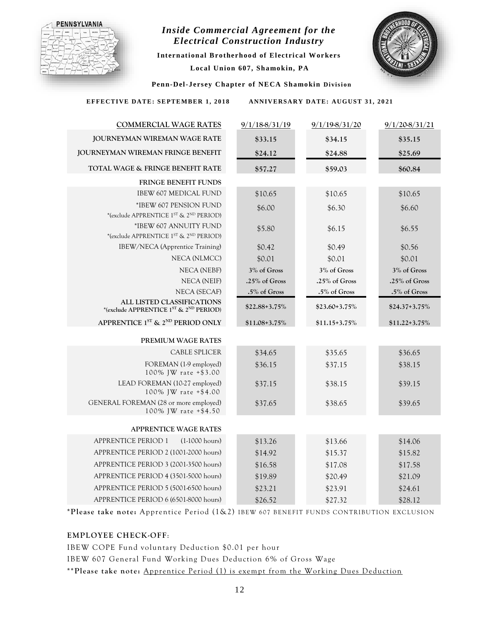

# *Inside Commercial Agreement for the Electrical Construction Industry*

**International Brotherhood of Electrical Workers**  Local Union 607, Shamokin, PA



**Penn-Del-Jersey Chapter of NECA Shamokin Division** 

**EFFECTIVE DATE: SEPTEMBER 1, 2018 ANNIVERSARY DATE: AUGUST 31, 2021** 

| <b>COMMERCIAL WAGE RATES</b>                                                             | $9/1/18-8/31/19$   | $9/1/19 - 8/31/20$ | 9/1/20.8/31/21     |
|------------------------------------------------------------------------------------------|--------------------|--------------------|--------------------|
| JOURNEYMAN WIREMAN WAGE RATE                                                             | \$33.15            | \$34.15            | \$35.15            |
| JOURNEYMAN WIREMAN FRINGE BENEFIT                                                        | \$24.12            | \$24.88            | \$25.69            |
| TOTAL WAGE & FRINGE BENEFIT RATE                                                         | \$57.27            | \$59.03            | \$60.84            |
| <b>FRINGE BENEFIT FUNDS</b>                                                              |                    |                    |                    |
| IBEW 607 MEDICAL FUND                                                                    | \$10.65            | \$10.65            | \$10.65            |
| *IBEW 607 PENSION FUND<br>*(exclude APPRENTICE 1ST & 2ND PERIOD)                         | \$6.00             | \$6.30             | \$6.60             |
| *IBEW 607 ANNUITY FUND<br>*(exclude APPRENTICE 1 <sup>ST</sup> & 2 <sup>ND</sup> PERIOD) | \$5.80             | \$6.15             | \$6.55             |
| IBEW/NECA (Apprentice Training)                                                          | \$0.42             | \$0.49             | \$0.56             |
| NECA (NLMCC)                                                                             | \$0.01             | \$0.01             | \$0.01             |
| NECA (NEBF)                                                                              | 3% of Gross        | 3% of Gross        | 3% of Gross        |
| <b>NECA (NEIF)</b>                                                                       | .25% of Gross      | .25% of Gross      | .25% of Gross      |
| NECA (SECAF)                                                                             | .5% of Gross       | .5% of Gross       | .5% of Gross       |
| ALL LISTED CLASSIFICATIONS<br>*(exclude APPRENTICE $1^{ST}$ & $2^{ND}$ PERIOD)           | $$22.88+3.75%$     | $$23.60 + 3.75\%$  | \$24.37+3.75%      |
| APPRENTICE $1^{ST}$ & $2^{ND}$ PERIOD ONLY                                               | $$11.08+3.75\%$    | \$11.15+3.75%      | $$11.22 + 3.75\%$  |
| PREMIUM WAGE RATES                                                                       |                    |                    |                    |
| <b>CABLE SPLICER</b>                                                                     | \$34.65            | \$35.65            | \$36.65            |
|                                                                                          |                    |                    |                    |
| FOREMAN (1-9 employed)                                                                   | \$36.15            | \$37.15            | \$38.15            |
| 100% JW rate +\$3.00<br>LEAD FOREMAN (10-27 employed)                                    | \$37.15            | \$38.15            | \$39.15            |
| 100% JW rate +\$4.00<br>GENERAL FOREMAN (28 or more employed)                            | \$37.65            | \$38.65            | \$39.65            |
| 100% JW rate +\$4.50                                                                     |                    |                    |                    |
| <b>APPRENTICE WAGE RATES</b><br><b>APPRENTICE PERIOD 1</b>                               |                    |                    |                    |
| $(1-1000 \text{ hours})$                                                                 | \$13.26            | \$13.66            | \$14.06            |
| APPRENTICE PERIOD 2 (1001-2000 hours)                                                    | \$14.92            | \$15.37            | \$15.82            |
| APPRENTICE PERIOD 3 (2001-3500 hours)                                                    | \$16.58            | \$17.08            | \$17.58            |
| APPRENTICE PERIOD 4 (3501-5000 hours)                                                    | \$19.89            | \$20.49            | \$21.09            |
| APPRENTICE PERIOD 5 (5001-6500 hours)<br>APPRENTICE PERIOD 6 (6501-8000 hours)           | \$23.21<br>\$26.52 | \$23.91<br>\$27.32 | \$24.61<br>\$28.12 |

\*Please take note: Apprentice Period (1&2) IBEW 607 BENEFIT FUNDS CONTRIBUTION EXCLUSION

**EMPLOYEE CHECK-OFF**:

IBEW COPE Fund voluntary Deduction \$0.01 per hour IBEW 607 General Fund Working Dues Deduction 6% of Gross Wage **\*\*Please take note:** Apprentice Period (1) is exempt from the Working Dues Deduction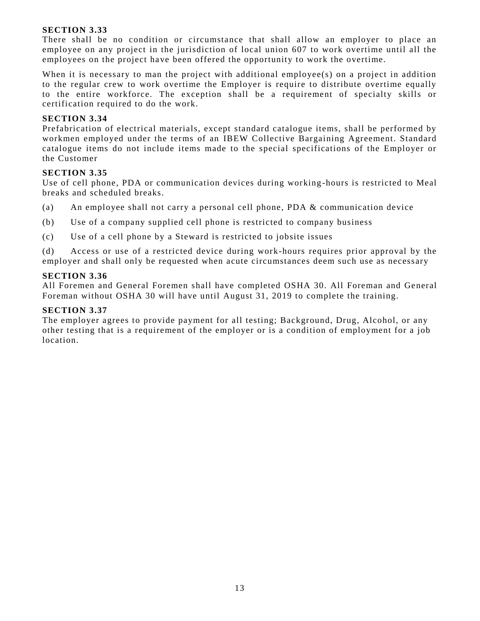There shall be no condition or circumstance that shall allow an employer to place an employee on any project in the jurisdiction of local union 607 to work overtime until all the employees on the project have been offered the opportunity to work the overtime.

When it is necessary to man the project with additional employee(s) on a project in addition to the regular crew to work overtime the Employer is require to distribute overtime equally to the entire workforce. The exception shall be a requirement of specialty skills or certification required to do the work.

### **SECTION 3.34**

Prefabrication of electrical materials, except standard catalogue items, shall be performed by workmen employed under the terms of an IBEW Collective Bargaining Agreement. Standard catalogue items do not include items made to the special specifications of the Employer or the Customer

# **SECTION 3.35**

Use of cell phone, PDA or communication devices during working -hours is restricted to Meal breaks and scheduled breaks.

- (a) An employee shall not carry a personal cell phone, PDA & communication device
- (b) Use of a company supplied cell phone is restricted to company business
- (c) Use of a cell phone by a Steward is restricted to jobsite issues

(d) Access or use of a restricted device during work-hours requires prior approval by the employer and shall only be requested when acute circumstances deem such use as necessary

#### **SECTION 3.36**

All Foremen and General Foremen shall have completed OSHA 30. All Foreman and General Foreman without OSHA 30 will have until August 31, 2019 to complete the training.

#### **SECTION 3.37**

The employer agrees to provide payment for all testing; Background, Drug, Alcohol, or any other testing that is a requirement of the employer or is a condition of employment for a job location.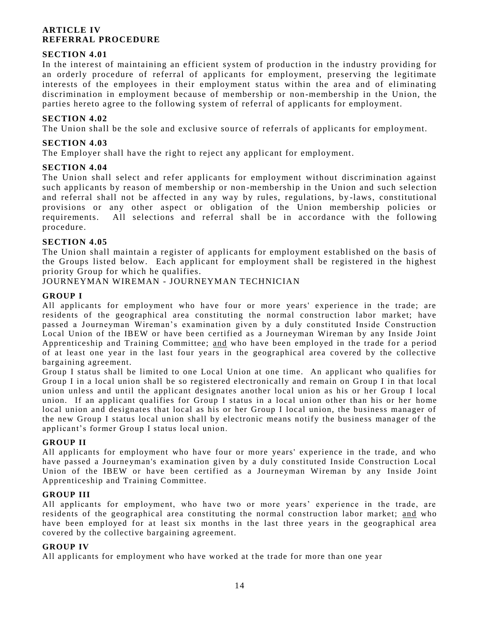#### **ARTICLE IV REFERRAL PROCEDURE**

# **SECTION 4.01**

In the interest of maintaining an efficient system of production in the industry providing for an orderly procedure of referral of applicants for employment, preserving the legitimate interests of the employees in their employment status within the area and of eliminating discrimination in employment because of membership or non-membership in the Union, the parties hereto agree to the following system of referral of applicants for employment.

#### **SECTION 4.02**

The Union shall be the sole and exclusive source of referrals of applicants for employment.

#### **SECTION 4.03**

The Employer shall have the right to reject any applicant for employment.

#### **SECTION 4.04**

The Union shall select and refer applicants for employment without discrimination against such applicants by reason of membership or non -membership in the Union and such selection and referral shall not be affected in any way by rules, regulations, by -laws, constitutional provisions or any other aspect or obligation of the Union membership policies or requirements. All selections and referral shall be in acc ordance with the following procedure.

#### **SECTION 4.05**

The Union shall maintain a register of applicants for employment established on the basis of the Groups listed below. Each applicant for employment shall be registered in the highest priority Group for which he qualifies.

JOURNEYMAN WIREMAN - JOURNEYMAN TECHNICIAN

#### **GROUP I**

All applicants for employment who have four or more years' experience in the trade; are residents of the geographical area constituting the normal construction labor market; have passed a Journeyman Wireman's examination given by a duly constituted Inside Construction Local Union of the IBEW or have been certified as a Journeyman Wireman by any Inside Joint Apprenticeship and Training Committee; and who have been employed in the trade for a period of at least one year in the last four years in the geographical area covered by the collective bargaining agreement.

Group I status shall be limited to one Local Union at one time. An applicant who qualifies for Group I in a local union shall be so registered electronically and remain on Group I in that local union unless and until the applicant designates another local union as his or her Group I local union. If an applicant qualifies for Group I status in a local union other than his or her home local union and designates that local as his or her Group I local union, the business manager of the new Group I status local union shall by electronic means notify the business manager of the applicant's former Group I status local union.

#### **GROUP II**

All applicants for employment who have four or more years' experience in the trade, and who have passed a Journeyman's examination given by a duly constituted Inside Construction Local Union of the IBEW or have been certified as a Journeyman Wireman by any Inside Joint Apprenticeship and Training Committee.

#### **GROUP III**

All applicants for employment, who have two or more years' experience in the trade, are residents of the geographical area constituting the normal construction labor market; and who have been employed for at least six months in the last three years in the geographical area covered by the collective bargaining agreement.

#### **GROUP IV**

All applicants for employment who have worked at the trade for more than one year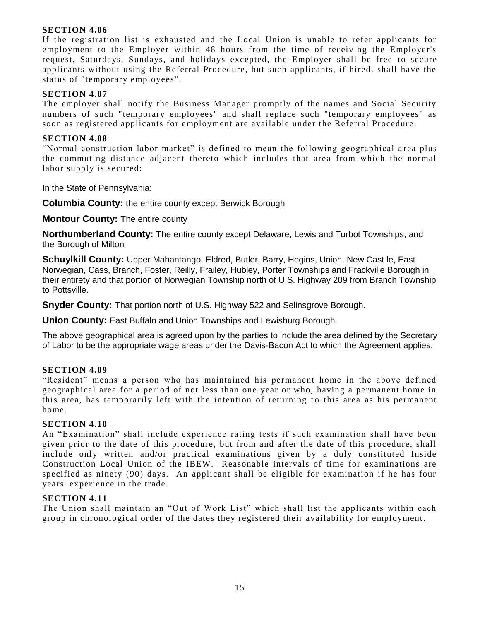# **SECTION 4.06**

If the registration list is exhausted and the Local Union is unable to refer applicants for employment to the Employer within 48 hours from the time of receiving the Employer's request, Saturdays, Sundays, and holidays excepted, the Employer shall be free to secure applicants without using the Referral Procedure, but such applicants, if hired, shall have the status of "temporary employees".

### **SECTION 4.07**

The employer shall notify the Business Manager promptly of the names and Social Security numbers of such "temporary employees" and shall replace such "temporary employees" as soon as registered applicants for employment are available under the Referral Procedure.

#### **SECTION 4.08**

"Normal construction labor market" is defined to mean the following geographical a rea plus the commuting distance adjacent thereto which includes that area from which the normal labor supply is secured:

In the State of Pennsylvania:

**Columbia County:** the entire county except Berwick Borough

**Montour County:** The entire county

**Northumberland County:** The entire county except Delaware, Lewis and Turbot Townships, and the Borough of Milton

**Schuylkill County:** Upper Mahantango, Eldred, Butler, Barry, Hegins, Union, New Cast le, East Norwegian, Cass, Branch, Foster, Reilly, Frailey, Hubley, Porter Townships and Frackville Borough in their entirety and that portion of Norwegian Township north of U.S. Highway 209 from Branch Township to Pottsville.

**Snyder County:** That portion north of U.S. Highway 522 and Selinsgrove Borough.

**Union County:** East Buffalo and Union Townships and Lewisburg Borough.

The above geographical area is agreed upon by the parties to include the area defined by the Secretary of Labor to be the appropriate wage areas under the Davis-Bacon Act to which the Agreement applies.

#### **SECTION 4.09**

"Resident" means a person who has maintained his permanent home in the above defined geographical area for a period of not less than one year or who, having a permanent home in this area, has temporarily left with the intention of returning to this area as his permanent home.

### **SECTION 4.10**

An "Examination" shall include experience rating tests if such examination shall have been given prior to the date of this procedure, but from and after the date of this procedure, shall include only written and/or practical examinations given by a duly constituted Inside Construction Local Union of the IBEW. Reasonable intervals of time for examinations are specified as ninety (90) days. An applicant shall be eligible for examination if he has four years' experience in the trade.

#### **SECTION 4.11**

The Union shall maintain an "Out of Work List" which shall list the applicants within each group in chronological order of the dates they registered their availability for employment.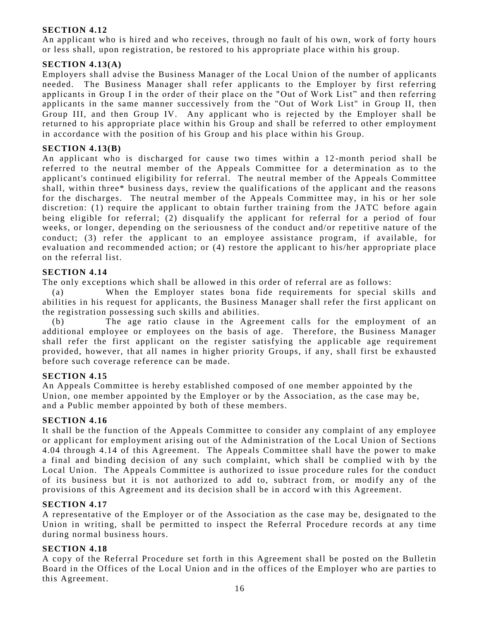# **SECTION 4.12**

An applicant who is hired and who receives, through no fault of his own, work of forty hours or less shall, upon registration, be restored to his appropriate place within his group.

# **SECTION 4.13(A)**

Employers shall advise the Business Manager of the Local Union of the number of applicants needed. The Business Manager shall refer applicants to the Employer by first referring applicants in Group I in the order of their place on the "Out of Work List" and then referring applicants in the same manner successively from the "Out of Work List" in Group II, then Group III, and then Group IV. Any applicant who is rejected by the Employer shall be returned to his appropriate place within his Group and shall be referred to other employment in accordance with the position of his Group and his place within his Group.

#### **SECTION 4.13(B)**

An applicant who is discharged for cause two times within a 12 -month period shall be referred to the neutral member of the Appeals Committee for a determination as to the applicant's continued eligibility for referral. The neutral member of the Appeals Committee shall, within three\* business days, review the qualifications of the applicant and the reasons for the discharges. The neutral member of the Appeals Committee may, in his or her sole discretion: (1) require the applicant to obtain further training from the JATC before again being eligible for referral; (2) disqualify the applicant for referral for a period of four weeks, or longer, depending on the seriousness of the conduct and/or repetitive nature of the conduct; (3) refer the applicant to an employee assistance program, if available, for evaluation and recommended action; or (4) restore the applicant to his/her appropriate place on the referral list.

#### **SECTION 4.14**

The only exceptions which shall be allowed in this order of referral are as follows:

(a) When the Employer states bona fide requirements for special skills and abilities in his request for applicants, the Business Manager shall refer the first applicant on the registration possessing such skills and abilities.

(b) The age ratio clause in the Agreement calls for the employment of an additional employee or employees on the basis of age. Therefore, the Business Manager shall refer the first applicant on the register satisfying the applicable age requirement provided, however, that all names in higher priority Groups, if any, shall first be exhausted before such coverage reference can be made.

#### **SECTION 4.15**

An Appeals Committee is hereby established composed of one member appointed by t he Union, one member appointed by the Employer or by the Association, as the case may be, and a Public member appointed by both of these members.

#### **SECTION 4.16**

It shall be the function of the Appeals Committee to consider any complaint of any employee or applicant for employment arising out of the Administration of the Local Union of Sections 4.04 through 4.14 of this Agreement. The Appeals Committee shall have the power to make a final and binding decision of any such complaint, which shall be complied w ith by the Local Union. The Appeals Committee is authorized to issue procedure rules for the conduct of its business but it is not authorized to add to, subtract from, or modify any of the provisions of this Agreement and its decision shall be in accord w ith this Agreement.

#### **SECTION 4.17**

A representative of the Employer or of the Association as the case may be, designated to the Union in writing, shall be permitted to inspect the Referral Procedure records at any time during normal business hours.

#### **SECTION 4.18**

A copy of the Referral Procedure set forth in this Agreement shall be posted on the Bulletin Board in the Offices of the Local Union and in the offices of the Employer who are parties to this Agreement.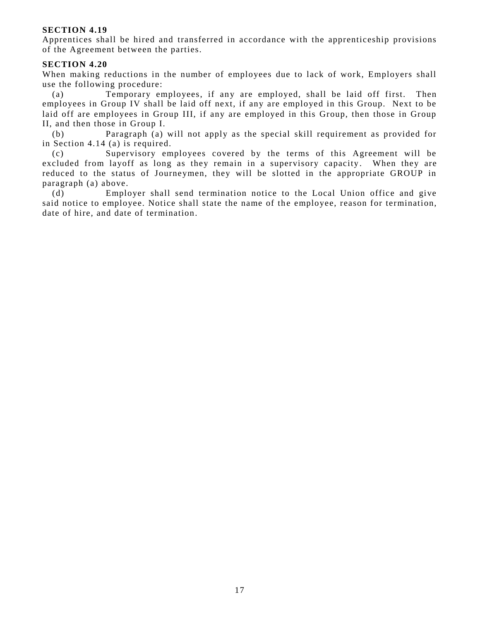#### **SECTION 4.19**

Apprentices shall be hired and transferred in accordance with the apprenticeship provisions of the Agreement between the parties.

### **SECTION 4.20**

When making reductions in the number of employees due to lack of work, Employers shall use the following procedure:

(a) Temporary employees, if any are employed, shall be laid off first. Then employees in Group IV shall be laid off next, if any are employed in this Group. Next to be laid off are employees in Group III, if any are employed in this Group, then those in Group II, and then those in Group I.

(b) Paragraph (a) will not apply as the special skill requirement as provided for in Section 4.14 (a) is required.

(c) Supervisory employees covered by the terms of this Agreement will be excluded from layoff as long as they remain in a supervisory capacity. When they are reduced to the status of Journeymen, they will be slotted in the appropriate GROUP in paragraph (a) above.

(d) Employer shall send termination notice to the Local Union office and give said notice to employee. Notice shall state the name of the employee, reason for termination, date of hire, and date of termination.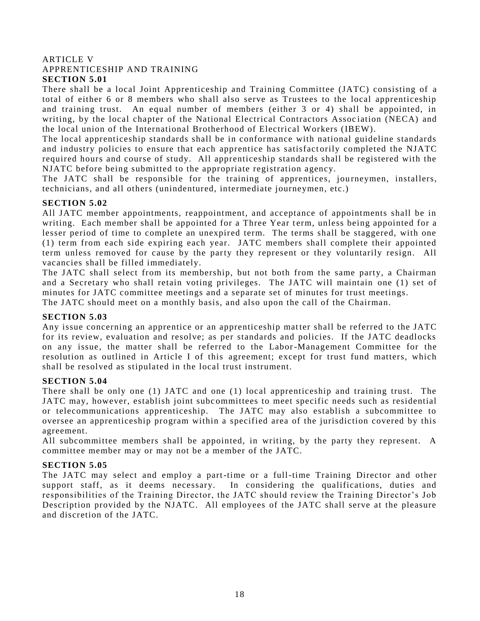# ARTICLE V APPRENTICESHIP AND TRAINING **SECTION 5.01**

There shall be a local Joint Apprenticeship and Training Committee (JATC) consisting of a total of either 6 or 8 members who shall also serve as Trustees to the local apprenticeship and training trust. An equal number of members (either 3 or 4) shall be appointed, in writing, by the local chapter of the National Electrical Contractors Association (NECA) and the local union of the International Brotherhood of Electrical Workers (IBEW).

The local apprenticeship standards shall be in conformance with national guideline standards and industry policies to ensure that each apprentice has satisfact orily completed the NJATC required hours and course of study. All apprenticeship standards shall be registered with the NJATC before being submitted to the appropriate registration agency.

The JATC shall be responsible for the training of apprentices, journeymen, installers, technicians, and all others (unindentured, intermediate journeymen, etc.)

# **SECTION 5.02**

All JATC member appointments, reappointment, and acceptance of appointments shall be in writing. Each member shall be appointed for a Three Year term, unless being appointed for a lesser period of time to complete an unexpired term. The terms shall be staggered, with one (1) term from each side expiring each year. JATC members shall complete their appointed term unless removed for cause by the party they represent or they voluntarily resign. All vacancies shall be filled immediately.

The JATC shall select from its membership, but not both from the same party, a Chairman and a Secretary who shall retain voting privileges. The JATC will maintain one (1) set of minutes for JATC committee meetings and a separate set of minutes for trust meetings. The JATC should meet on a monthly basis, and also upon the call of the Chairman.

# **SECTION 5.03**

Any issue concerning an apprentice or an apprenticeship matter shall be referred to the JATC for its review, evaluation and resolve; as per standards and policies. If the JATC deadlocks on any issue, the matter shall be referred to the Labor-Management Committee for the resolution as outlined in Article I of this agreement; except for trust fund matters, which shall be resolved as stipulated in the local trust instrument.

#### **SECTION 5.04**

There shall be only one (1) JATC and one (1) local apprenticeship and training trust. The JATC may, however, establish joint subcommittees to meet specific needs such as residential or telecommunications apprenticeship. The JATC may also establish a subcommittee to oversee an apprenticeship program within a specified area of the jurisdiction covered by this agreement.

All subcommittee members shall be appointed, in writing, by the party they represent. A committee member may or may not be a member of the JATC.

# **SECTION 5.05**

The JATC may select and employ a part-time or a full-time Training Director and other support staff, as it deems necessary. In considering the qualifications, duties and responsibilities of the Training Director, the JATC should review the Training Director's Job Description provided by the NJATC. All employees of the JATC shall serve at the pleasure and discretion of the JATC.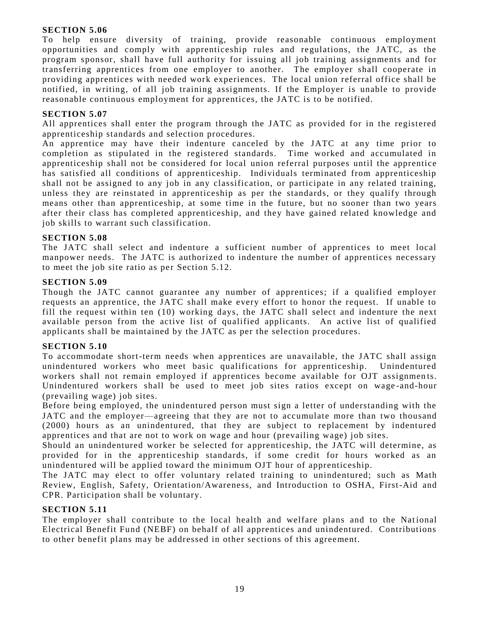# **SECTION 5.06**

To help ensure diversity of training, provide reasonable continuous employment opportunities and comply with apprenticeship rules and regulations, the JATC, as the program sponsor, shall have full authority for issuing all job training assignments and for transferring apprentices from one employer to another. The employer shall cooperate in providing apprentices with needed work experiences. The local union referral office shall be notified, in writing, of all job training assignments. If the Employer is unable to provide reasonable continuous employment for apprentices, the JATC is to be notified.

#### **SECTION 5.07**

All apprentices shall enter the program through the JATC as provided for in the registered apprenticeship standards and selection procedures.

An apprentice may have their indenture canceled by the JATC at any time prior to completion as stipulated in the registered standards. Time worked and accumulated in apprenticeship shall not be considered for local union referral purposes until the apprentice has satisfied all conditions of apprenticeship. Individuals terminated from apprenticeship shall not be assigned to any job in any classification, or participate in any related training, unless they are reinstated in apprenticeship as per the standards, or they qualify through means other than apprenticeship, at some time in the future, but no sooner than two years after their class has completed apprenticeship, and they have gained related knowledge and job skills to warrant such classification.

### **SECTION 5.08**

The JATC shall select and indenture a sufficient number of apprentices to meet local manpower needs. The JATC is authorized to indenture the number of apprentices necessary to meet the job site ratio as per Section 5.12.

#### **SECTION 5.09**

Though the JATC cannot guarantee any number of apprentices; if a qualified employer requests an apprentice, the JATC shall make every effort to honor the request. If unable to fill the request within ten (10) working days, the JATC shall select and indenture the next available person from the active list of qualified applicants. An active list of qualified applicants shall be maintained by the JATC as per the selection procedures.

#### **SECTION 5.10**

To accommodate short-term needs when apprentices are unavailable, the JATC shall assign unindentured workers who meet basic qualifications for apprenticeship. Unindentured workers shall not remain employed if apprentices become available for OJT assignmen ts. Unindentured workers shall be used to meet job sites ratios except on wage -and-hour (prevailing wage) job sites.

Before being employed, the unindentured person must sign a letter of understanding with the JATC and the employer—agreeing that they are not to accumulate more than two thousand (2000) hours as an unindentured, that they are subject to replacement by indentured apprentices and that are not to work on wage and hour (prevailing wage) job sites.

Should an unindentured worker be selected for apprenticeship, the JATC will determine, as provided for in the apprenticeship standards, if some credit for hours worked as an unindentured will be applied toward the minimum OJT hour of apprenticeship.

The JATC may elect to offer voluntary related training to unindentured; such as Math Review, English, Safety, Orientation/Awareness, and Introduction to OSHA, First-Aid and CPR. Participation shall be voluntary.

#### **SECTION 5.11**

The employer shall contribute to the local health and welfare plans and to the National Electrical Benefit Fund (NEBF) on behalf of all apprentices and unindentured. Contributions to other benefit plans may be addressed in other sections of this agreement.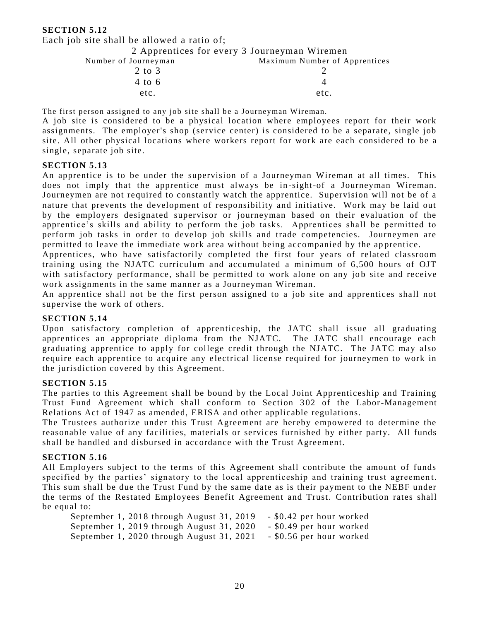# **SECTION 5.12**

| Each job site shall be allowed a ratio of; |                                              |
|--------------------------------------------|----------------------------------------------|
|                                            | 2 Apprentices for every 3 Journeyman Wiremen |
| Number of Journeyman                       | Maximum Number of Apprentices                |
| 2 to 3                                     |                                              |
| $4$ to 6                                   | $\Delta$                                     |
| etc.                                       | etc.                                         |
|                                            |                                              |

The first person assigned to any job site shall be a Journeyman Wireman.

A job site is considered to be a physical location where employees report for their work assignments. The employer's shop (service center) is considered to be a separate, single job site. All other physical locations where workers report for work are each considered to be a single, separate job site.

#### **SECTION 5.13**

An apprentice is to be under the supervision of a Journeyman Wireman at all times. This does not imply that the apprentice must always be in -sight-of a Journeyman Wireman. Journeymen are not required to constantly watch the apprentice. Supervision will not be of a nature that prevents the development of responsibility and initiative. Work may be laid out by the employers designated supervisor or journeyman based on their evaluation of the apprentice's skills and ability to perform the job tasks. Apprentices shall be permitted to perform job tasks in order to develop job skills and trade competencies. Journeymen are permitted to leave the immediate work area without being accompanied by the ap prentice.

Apprentices, who have satisfactorily completed the first four years of related classroom training using the NJATC curriculum and accumulated a minimum of 6,500 hours of OJT with satisfactory performance, shall be permitted to work alone on any job site and receive work assignments in the same manner as a Journeyman Wireman.

An apprentice shall not be the first person assigned to a job site and apprentices shall not supervise the work of others.

#### **SECTION 5.14**

Upon satisfactory completion of apprenticeship, the JATC shall issue all graduating apprentices an appropriate diploma from the NJATC. The JATC shall encourage each graduating apprentice to apply for college credit through the NJATC. The JATC may also require each apprentice to acquire any e lectrical license required for journeymen to work in the jurisdiction covered by this Agreement.

#### **SECTION 5.15**

The parties to this Agreement shall be bound by the Local Joint Apprenticeship and Training Trust Fund Agreement which shall conform to Section 302 of the Labor-Management Relations Act of 1947 as amended, ERISA and other applicable regulations.

The Trustees authorize under this Trust Agreement are hereby empowered to determine the reasonable value of any facilities, materials or services furnished by either party. All funds shall be handled and disbursed in accordance with the Trust Agreement.

#### **SECTION 5.16**

All Employers subject to the terms of this Agreement shall contribute the amount of funds specified by the parties' signatory to the local apprenticeship and training trust agreemen t. This sum shall be due the Trust Fund by the same date as is their payment to the NEBF under the terms of the Restated Employees Benefit Agreement and Trust. Contribution rates shall be equal to:

September 1, 2018 through August 31, 2019 - \$0.42 per hour worked September 1, 2019 through August 31, 2020 - \$0.49 per hour worked September 1, 2020 through August  $31, 2021 - 0.56$  per hour worked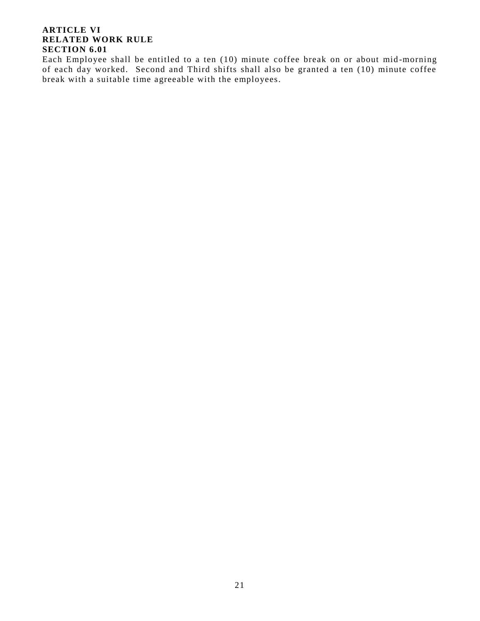#### **ARTICLE VI RELATED WORK RULE SECTION 6.01**

Each Employee shall be entitled to a ten (10) minute coffee break on or about mid-morning of each day worked. Second and Third shifts shall also be granted a ten (10) minute coffee break with a suitable time agreeable with the employees.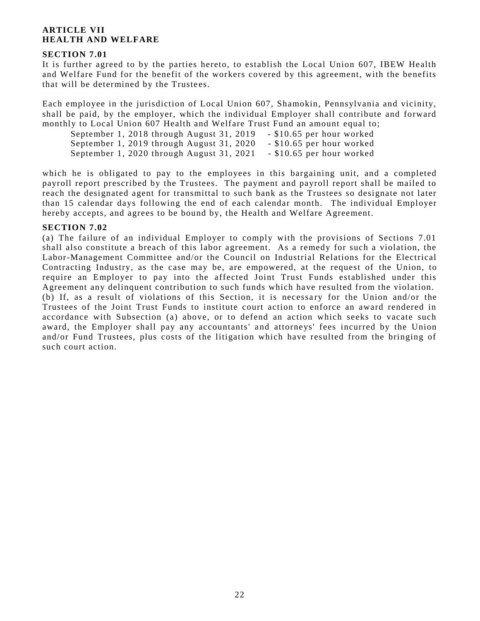#### **ARTICLE VII HEALTH AND WELFARE**

#### **SECTION 7.01**

It is further agreed to by the parties hereto, to establish the Local Union 607, IBEW Health and Welfare Fund for the benefit of the workers covered by this agreement, with the benefits that will be determined by the Trustees.

Each employee in the jurisdiction of Local Union 607, Shamokin, Pennsylvania and vicinity, shall be paid, by the employer, which the individual Employer shall contribute and forward monthly to Local Union 607 Health and Welfare Trust Fund an amount equal to;

September 1, 2018 through August 31, 2019 - \$10.65 per hour worked September 1, 2019 through August 31, 2020 - \$10.65 per hour worked September 1, 2020 through August 31, 2021 - \$10.65 per hour worked

which he is obligated to pay to the employees in this bargaining unit, and a completed payroll report prescribed by the Trustees. The payment and payroll report shall be mailed to reach the designated agent for transmittal to such bank as the Trustees so designate not later than 15 calendar days following the end of each calendar month. The individual Employer hereby accepts, and agrees to be bound by, the Health and Welfare Agreement.

#### **SECTION 7.02**

(a) The failure of an individual Employer to comply with the provisions of Sections 7.01 shall also constitute a breach of this labor agreement. As a remedy for such a violation, the Labor-Management Committee and/or the Council on Industrial Relations for the Electrical Contracting Industry, as the case may be, are empowered, at the request of the Union, to require an Employer to pay into the affected Joint Trust Funds established under this Agreement any delinquent contribution to such funds which have resulted from the violation. (b) If, as a result of violations of this Section, it is necessa ry for the Union and/or the Trustees of the Joint Trust Funds to institute court action to enforce an award rendered in accordance with Subsection (a) above, or to defend an action which seeks to vacate such award, the Employer shall pay any accountants' and attorneys' fees incurred by the Union and/or Fund Trustees, plus costs of the litigation which have resulted from the bringing of such court action.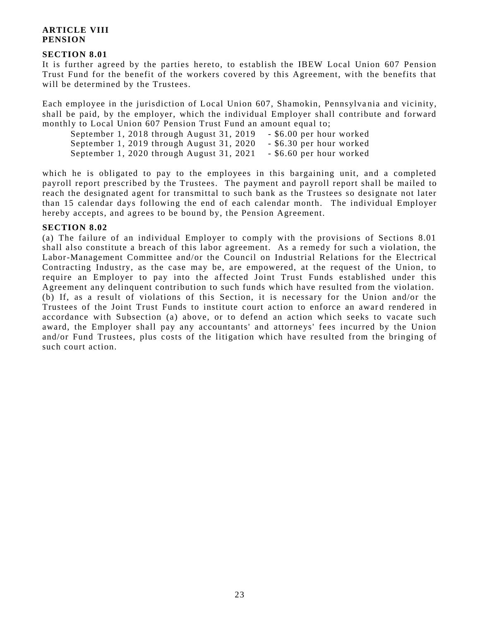# **ARTICLE VIII PENSION**

#### **SECTION 8.01**

It is further agreed by the parties hereto, to establish the IBEW Local Union 607 Pension Trust Fund for the benefit of the workers covered by this Agreement, with the benefits that will be determined by the Trustees.

Each employee in the jurisdiction of Local Union 607, Shamokin, Pennsylvania and vicinity, shall be paid, by the employer, which the individual Employer shall contribute and forward monthly to Local Union 607 Pension Trust Fund an amount equal to;

September 1, 2018 through August 31, 2019 - \$6.00 per hour worked September 1, 2019 through August 31, 2020 - \$6.30 per hour worked September 1, 2020 through August 31, 2021 - \$6.60 per hour worked

which he is obligated to pay to the employees in this bargaining unit, and a completed payroll report prescribed by the Trustees. The payment and payroll report shall be mailed to reach the designated agent for transmittal to such bank as the Trustees so designate not later than 15 calendar days following the end of each calendar month. The individual Employer hereby accepts, and agrees to be bound by, the Pension Agreement.

#### **SECTION 8.02**

(a) The failure of an individual Employer to comply with the provisions of Sections 8.01 shall also constitute a breach of this labor agreement. As a remedy for such a violation, the Labor-Management Committee and/or the Council on Industrial Relations for the Electrical Contracting Industry, as the case may be, are empowered, at the request of the Union, to require an Employer to pay into the affected Joint Trust Funds established under this Agreement any delinquent contribution to such funds which have resulted from the violation. (b) If, as a result of violations of this Section, it is necessary for the Union and/or the Trustees of the Joint Trust Funds to institute court action to enforce an award rendered in accordance with Subsection (a) above, or to defend an action which seeks to vacate such award, the Employer shall pay any accountants' and attorneys' fees incurred by the Union and/or Fund Trustees, plus costs of the litigation which have res ulted from the bringing of such court action.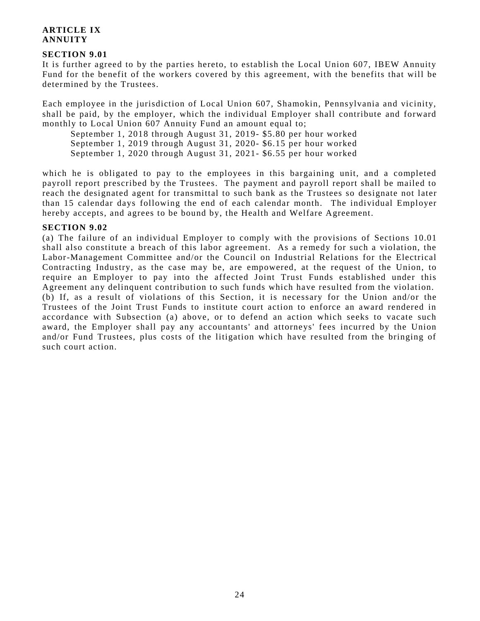# **ARTICLE IX ANNUITY**

#### **SECTION 9.01**

It is further agreed to by the parties hereto, to establish the Local Union 607, IBEW Annuity Fund for the benefit of the workers covered by this agreement, with the benefits that will be determined by the Trustees.

Each employee in the jurisdiction of Local Union 607, Shamokin, Pennsylvania and vicinity, shall be paid, by the employer, which the individual Employer shall contribute and forward monthly to Local Union 607 Annuity Fund an amount equal to;

September 1, 2018 through August 31, 2019- \$5.80 per hour worked September 1, 2019 through August 31, 2020- \$6.15 per hour worked September 1, 2020 through August 31, 2021- \$6.55 per hour worked

which he is obligated to pay to the employees in this bargaining unit, and a completed payroll report prescribed by the Trustees. The payment and payroll report shall be mailed to reach the designated agent for transmittal to such bank as the Trustees so designate not later than 15 calendar days following the end of each calendar month. The individual Employer hereby accepts, and agrees to be bound by, the Health and Welfare Agreement.

#### **SECTION 9.02**

(a) The failure of an individual Employer to comply with the provisions of Sections 10.01 shall also constitute a breach of this labor agreement. As a remedy for such a violation, the Labor-Management Committee and/or the Council on Industrial Relations for the Electrical Contracting Industry, as the case may be, are empowered, at the request of the Union, to require an Employer to pay into the affected Joint Trust Funds established under this Agreement any delinquent contribution to such funds which have resulted from the violation. (b) If, as a result of violations of this Section, it is necessary for the Union and/or the Trustees of the Joint Trust Funds to institute court action to enforce an award rendered in accordance with Subsection (a) above, or to defend an action which seeks to vacate such award, the Employer shall pay any accountants' and attorneys' fees incurred by the Union and/or Fund Trustees, plus costs of the litigation which have resulted from the bringing of such court action.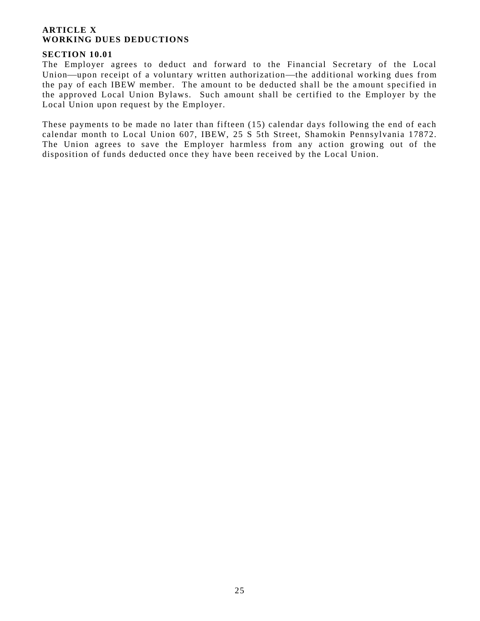#### **ARTICLE X WORKING DUES DEDUCTIONS**

#### **SECTION 10.01**

The Employer agrees to deduct and forward to the Financial Secretary of the Local Union—upon receipt of a voluntary written authorization—the additional working dues from the pay of each IBEW member. The amount to be deducted shall be the a mount specified in the approved Local Union Bylaws. Such amount shall be certified to the Employer by the Local Union upon request by the Employer.

These payments to be made no later than fifteen (15) calendar days following the end of each calendar month to Local Union 607, IBEW, 25 S 5th Street, Shamokin Pennsylvania 17872. The Union agrees to save the Employer harmless from any action growing out of the disposition of funds deducted once they have been received by the Local Union.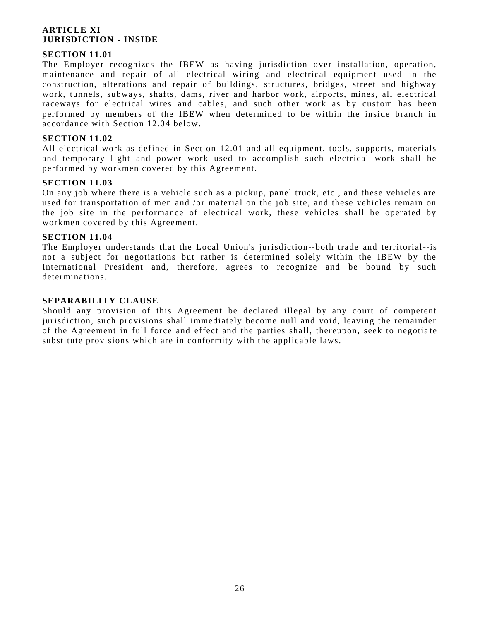#### **ARTICLE XI JURISDICTION - INSIDE**

### **SECTION 11.01**

The Employer recognizes the IBEW as having jurisdiction over installation, operation, maintenance and repair of all electrical wiring and electrical equipment used in the construction, alterations and repair of buildings, structures, bridges, street and highway work, tunnels, subways, shafts, dams, river and harbor work, airports, mines, all electrical raceways for electrical wires and cables, and such other work as by custom has been performed by members of the IBEW when determined to be within the inside branch in accordance with Section 12.04 below.

#### **SECTION 11.02**

All electrical work as defined in Section 12.01 and all equipment, tools, supports, materials and temporary light and power work used to accomplish such electrical work shall be performed by workmen covered by this Agreement.

#### **SECTION 11.03**

On any job where there is a vehicle such as a pickup, panel truck, etc., and these vehicles are used for transportation of men and /or material on the job site, and these vehicles remain on the job site in the performance of electrical work, these vehicles shall be operated by workmen covered by this Agreement.

#### **SECTION 11.04**

The Employer understands that the Local Union's jurisdiction--both trade and territorial--is not a subject for negotiations but rather is determined solely within the IBEW by the International President and, therefore, agrees to recognize and be bound by such determinations.

#### **SEPARABILITY CLAUSE**

Should any provision of this Agreement be declared illegal by any court of competent jurisdiction, such provisions shall immediately become null and void, leaving the remainder of the Agreement in full force and effect and the parties shall, thereupon, seek to negotia te substitute provisions which are in conformity with the applicable laws.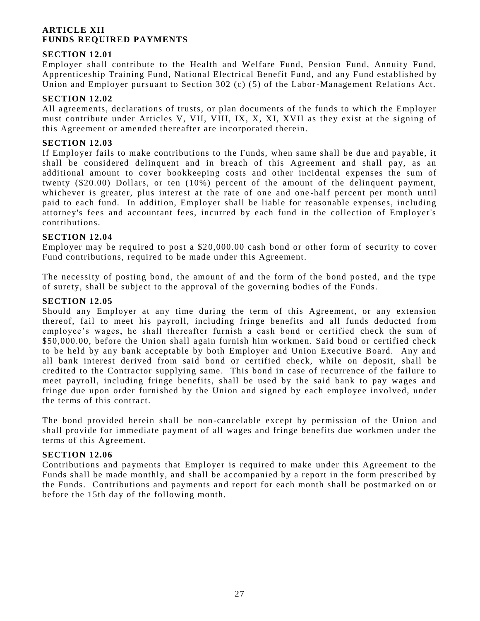#### **ARTICLE XII FUNDS REQUIRED PAYMENTS**

# **SECTION 12.01**

Employer shall contribute to the Health and Welfare Fund, Pension Fund, Annuity Fund, Apprenticeship Training Fund, National Electrical Benefit Fund, and any Fund established by Union and Employer pursuant to Section 302 (c) (5) of the Labor-Management Relations Act.

#### **SECTION 12.02**

All agreements, declarations of trusts, or plan documents of the funds to which the Employer must contribute under Articles V, VII, VIII, IX, X, XI, XVII as they exist at the signing of this Agreement or amended thereafter are in corporated therein.

### **SECTION 12.03**

If Employer fails to make contributions to the Funds, when same shall be due and payable, it shall be considered delinquent and in breach of this Agreement and shall pay, as an additional amount to cover bookkeeping costs and other incidental expenses the sum of twenty (\$20.00) Dollars, or ten (10%) percent of the amount of the delinquent payment, whichever is greater, plus interest at the rate of one and one -half percent per month until paid to each fund. In addition, Employer shall be liable for reasonable expenses, including attorney's fees and accountant fees, incurred by each fund in the collection of Employer's contributions.

### **SECTION 12.04**

Employer may be required to post a \$2 0,000.00 cash bond or other form of security to cover Fund contributions, required to be made under this Agreement.

The necessity of posting bond, the amount of and the form of the bond posted, and the type of surety, shall be subject to the approval of the governing bodies of the Funds.

#### **SECTION 12.05**

Should any Employer at any time during the term of this Agreement, or any extension thereof, fail to meet his payroll, including fringe benefits and all funds deducted from employee's wages, he shall thereafter furnish a cash bond or certified check the sum of \$50,000.00, before the Union shall again furnish him workmen. Said bond or certified check to be held by any bank acceptable by both Employer and Union Executive Board. Any and all bank interest derived from said bond or certified check, while on deposit, shall be credited to the Contractor supplying same. This bond in case of recurrence of the failure to meet payroll, including fringe benefits, shall be used by the said bank to pay wages and fringe due upon order furnished by the Union and signed by each employee involved, under the terms of this contract.

The bond provided herein shall be non -cancelable except by permission of the Union and shall provide for immediate payment of all wages and fringe benefits due workmen under the terms of this Agreement.

#### **SECTION 12.06**

Contributions and payments that Employer is required to make under this Agreement to the Funds shall be made monthly, and shall be accompanied by a report in the form prescribed by the Funds. Contributions and payments and report for each month shall be postmarked on or before the 15th day of the following month.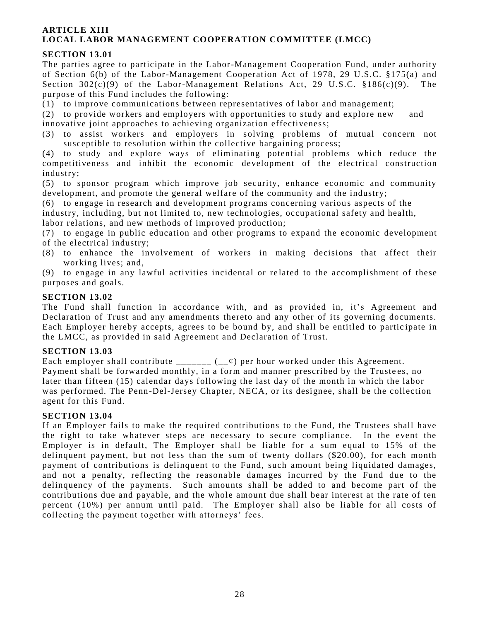# **ARTICLE XIII LOCAL LABOR MANAGEMENT COOPERATION COMMITTEE (LMCC)**

# **SECTION 13.01**

The parties agree to participate in the Labor-Management Cooperation Fund, under authority of Section 6(b) of the Labor-Management Cooperation Act of 1978, 29 U.S.C. §175(a) and Section  $302(c)(9)$  of the Labor-Management Relations Act, 29 U.S.C. §186(c)(9). The purpose of this Fund includes the following:

(1) to improve communications between representatives of labor and management;

(2) to provide workers and employers with opportunities to study and explore new and innovative joint approaches to achieving organization effectiveness;

(3) to assist workers and employers in solving problems of mutual concern not susceptible to resolution within the collective bargaining process;

(4) to study and explore ways of eliminating potential problems which reduce the competitiveness and inhibit the economic development of the electrical construction industry;

(5) to sponsor program which improve job security, enhance economic and community development, and promote the general welfare of the community and the industry;

(6) to engage in research and development programs concerning variou s aspects of the

industry, including, but not limited to, new technologies, occupational safety and health,

labor relations, and new methods of improved production;

(7) to engage in public education and other programs to expand the economic development of the electrical industry;

(8) to enhance the involvement of workers in making decisions that affect their working lives; and,

 $(9)$  to engage in any lawful activities incidental or related to the accomplishment of these purposes and goals.

### **SECTION 13.02**

The Fund shall function in accordance with, and as provided in, it's Agreement and Declaration of Trust and any amendments thereto and any other of its governing documents. Each Employer hereby accepts, agrees to be bound by, and shall be entitled to partic ipate in the LMCC, as provided in said Agreement and Declaration of Trust.

# **SECTION 13.03**

Each employer shall contribute  $\frac{1}{2}$  =  $\frac{1}{2}$  ( $\frac{1}{2}$ ) per hour worked under this Agreement. Payment shall be forwarded monthly, in a form and manner prescribed by the Truste es, no later than fifteen (15) calendar days following the last day of the month in which the labor was performed. The Penn-Del-Jersey Chapter, NECA, or its designee, shall be the collection agent for this Fund.

# **SECTION 13.04**

If an Employer fails to make the required contributions to the Fund, the Trustees shall have the right to take whatever steps are necessary to secure compliance. In the event the Employer is in default, The Employer shall be liable for a sum equal to 15% of the delinquent payment, but not less than the sum of twenty dollars (\$20.00), for each month payment of contributions is delinquent to the Fund, such amount being liquidated damages, and not a penalty, reflecting the reasonable damages incurred by the Fund due to the delinquency of the payments. Such amounts shall be added to and become part of the contributions due and payable, and the whole amount due shall bear interest at the rate of ten percent (10%) per annum until paid. The Employer shall also be liable for all costs of collecting the payment together with attorneys' fees.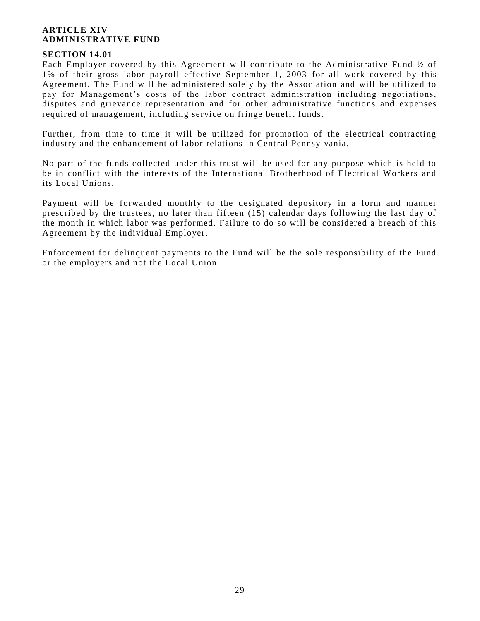#### **ARTICLE XIV ADMINISTRATIVE FUND**

## **SECTION 14.01**

Each Employer covered by this Agreement will contribute to the Administrative Fund ½ of 1% of their gross labor payroll effective September 1, 2003 for all work covered by this Agreement. The Fund will be administered solely by the Association and will be utilized to pay for Management's costs of the labor contract administration including negotiations, disputes and grievance representation and for other administrative functions and expenses required of management, including service on fringe benefit funds.

Further, from time to time it will be utilized for promotion of the electrical contracting industry and the enhancement of labor relations in Central Pennsylvania.

No part of the funds collected under this trust will be used for any purpose which is held to be in conflict with the interests of the International Brotherhood of Electrical Workers and its Local Unions.

Payment will be forwarded monthly to the designated depository in a form and manner prescribed by the trustees, no later than fifteen (15) calendar days following the last day of the month in which labor was performed. Failure to do so will be considered a breach of this Agreement by the individual Employer.

Enforcement for delinquent payments to the Fund will be the sole responsibility of the Fund or the employers and not the Local Union.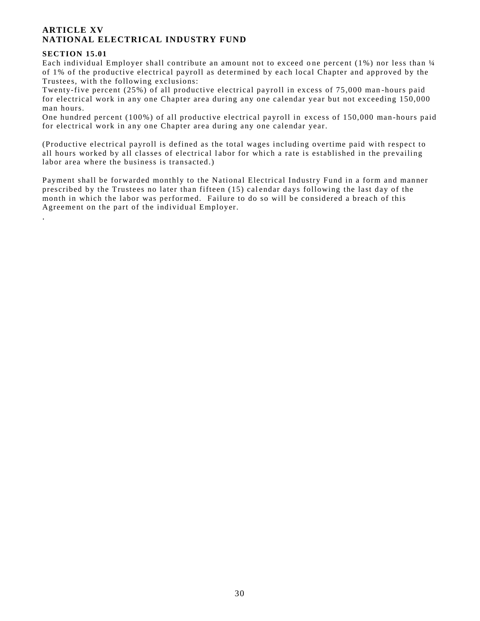# **ARTICLE XV NATIONAL ELECTRICAL INDUSTRY FUND**

#### **SECTION 15.01**

.

Each individual Employer shall contribute an amount not to exceed one percent (1%) nor less than 14 of 1% of the productive electrical payroll as determined by each local Chapter and approved by the Trustees, with the following exclusions:

Twenty-five percent (25%) of all productive electrical payroll in excess of 75,000 man -hours paid for electrical work in any one Chapter area during any one calendar year but not exceeding 150,000 man hours.

One hundred percent (100%) of all productive electrical payroll in excess of 150,000 man -hours paid for electrical work in any one Chapter area during any one calendar year.

(Productive electrical payroll is defined as the total wages including overtime paid with respect to all hours worked by all classes of electrical l abor for which a rate is established in the prevailing labor area where the business is transacted.)

Payment shall be forwarded monthly to the National Electrical Industry Fund in a form and manner prescribed by the Trustees no later than fifteen (15) cal endar days following the last day of the month in which the labor was performed. Failure to do so will be considered a breach of this Agreement on the part of the individual Employer.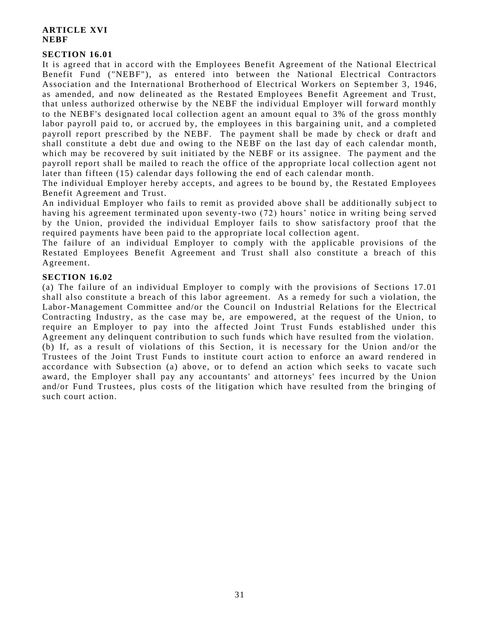# **ARTICLE XVI NEBF**

#### **SECTION 16.01**

It is agreed that in accord with the Employees Benefit Agreement of the National Electrical Benefit Fund ("NEBF"), as entered into between the National Electrical Contractors Association and the International Brotherhood of Electrical Workers on September 3, 1946, as amended, and now delineated as the Restated Employees Benefit Agreement and Trust, that unless authorized otherwise by the NEBF the individual Employer will forward monthly to the NEBF's designated local collection agent an amount equal to 3% of the gross monthly labor payroll paid to, or accrued by, the employees in this bargaining unit, and a completed payroll report prescribed by the NEBF. The payment shall be made by check or draft and shall constitute a debt due and owing to the NEBF on the last day of each calendar month, which may be recovered by suit initiated by the NEBF or its assignee. The payment and the payroll report shall be mailed to reach the office of the appropriate local collection agent not later than fifteen (15) calendar days following the end of each calendar month.

The individual Employer hereby accepts, and agrees to be bound by, the Restated Employees Benefit Agreement and Trust.

An individual Employer who fails to remit as provided above shall be additionally subject to having his agreement terminated upon seventy -two (72) hours' notice in writing being served by the Union, provided the individual Employer fails to show satisfactory proof that the required payments have been paid to the appropriate local collection agent.

The failure of an individual Employer to comply with the applicable provisions of the Restated Employees Benefit Agreement and Trust shall also constitute a breach of this Agreement.

### **SECTION 16.02**

(a) The failure of an individual Employer to comply with the provisions of Sections 17.01 shall also constitute a breach of this labor agreement. As a remedy for such a violation, the Labor-Management Committee and/or the Council on Industrial Relations for the Electrical Contracting Industry, as the case may be, are empowered, at the request of the Union, to require an Employer to pay into the affected Joint Trust Funds established under this Agreement any delinquent contribution to such funds which have resulted from the violation. (b) If, as a result of violations of this Section, it is necessary for the Union and/or the Trustees of the Joint Trust Funds to institute court action to enforce an award rendered in accordance with Subsection (a) above, or to defend an action which seeks to vacate such award, the Employer shall pay any accountants' and attorneys' fees incurred by the Union and/or Fund Trustees, plus costs of the litigation which have resulted from the bringing of such court action.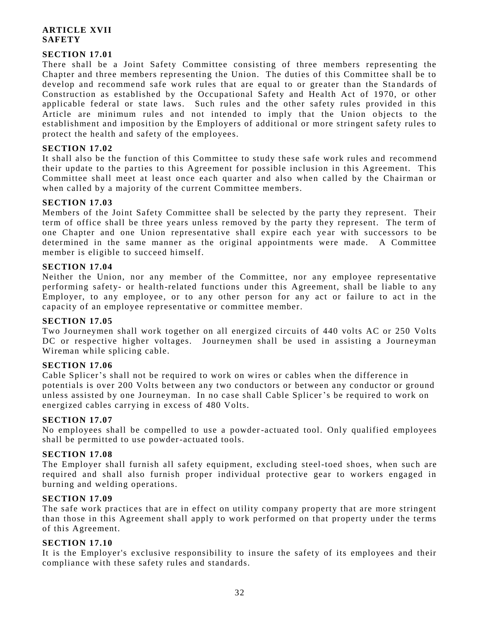# **ARTICLE XVII SAFETY**

#### **SECTION 17.01**

There shall be a Joint Safety Committee consisting of three members representing the Chapter and three members representing the Union. The duties of this Committee shall be to develop and recommend safe work rules that are equal to or greater than the Standards of Construction as established by the Occupational Safety and Health Act of 1970, or other applicable federal or state laws. Such rules and the other safety rules provided in this Article are minimum rules and not intended to imply that the Union o bjects to the establishment and imposition by the Employers of additional or more stringent safety rules to protect the health and safety of the employees.

#### **SECTION 17.02**

It shall also be the function of this Committee to study these safe work rules and recommend their update to the parties to this Agreement for possible inclusion in this Agreement. This Committee shall meet at least once each quarter and also when called by the Chairman or when called by a majority of the current Committee members.

### **SECTION 17.03**

Members of the Joint Safety Committee shall be selected by the party they represent. Their term of office shall be three years unless removed by the party they represent. The term of one Chapter and one Union representative shall expire each year with successors to be determined in the same manner as the original appointments were made. A Committee member is eligible to succeed himself.

#### **SECTION 17.04**

Neither the Union, nor any member of the Committee, nor any employee representative performing safety- or health-related functions under this Agreement, shall be liable to any Employer, to any employee, or to any other person for any act or failure to act in the capacity of an employee representative or committee member.

#### **SECTION 17.05**

Two Journeymen shall work together on all energized circuits of 440 volts AC or 250 Volts DC or respective higher voltages. Journeymen shall be used in assisting a Journeyman Wireman while splicing cable.

#### **SECTION 17.06**

Cable Splicer's shall not be required to work on wires or cables when the difference in potentials is over 200 Volts between any two conductors or between any conductor or ground unless assisted by one Journeyman. In no case shall Cable Splicer's be required to work on energized cables carrying in excess of 480 Volts.

#### **SECTION 17.07**

No employees shall be compelled to use a powder-actuated tool. Only qualified employees shall be permitted to use powder-actuated tools.

#### **SECTION 17.08**

The Employer shall furnish all safety equipment, excluding steel-toed shoes, when such are required and shall also furnish proper individual protective gear to workers engaged in burning and welding operations.

#### **SECTION 17.09**

The safe work practices that are in effect on utility company property that are more stringent than those in this Agreement shall apply to work performed on that property under the terms of this Agreement.

#### **SECTION 17.10**

It is the Employer's exclusive responsibility to insure the safety of its employees and their compliance with these safety rules and standards.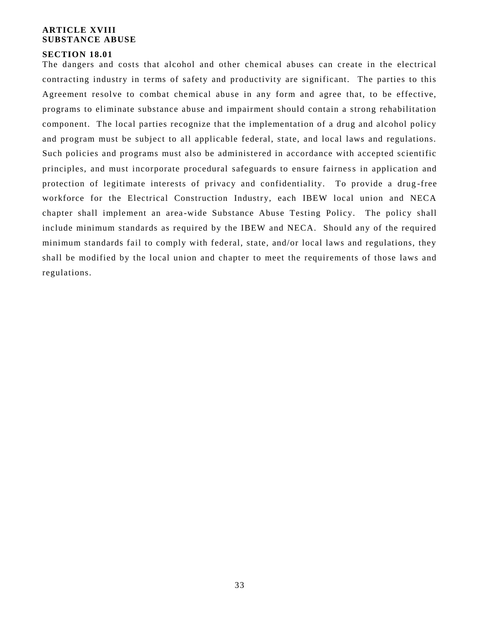#### **ARTICLE XVIII SUBSTANCE ABUSE**

### **SECTION 18.01**

The dangers and costs that alcohol and other chemical abuses can create in the electrical contracting industry in terms of safety and productivity are significant. The parties to this Agreement resolve to combat chemical abuse in any form and agree that, to be effective, programs to eliminate substance abuse and impairment should contain a strong rehabilitation component. The local parties recognize that the implementation of a drug and alcohol policy and program must be subject to all applicable federal, state, and local laws and regulations. Such policies and programs must also be administered in accordance with accepted scientific principles, and must incorporate procedural safeguards to ensure fairness in application and protection of legitimate interests of privacy and confidentiality. To provide a drug -free workforce for the Electrical Construction Industry, each IBEW local union and NECA chapter shall implement an area -wide Substance Abuse Testing Policy. The policy shall include minimum standards as required by the IBEW and NECA. Should any of the required minimum standards fail to comply with federal, state, and/or local laws and regulations, they shall be modified by the local union and chapter to meet the requirements of those laws and regulations.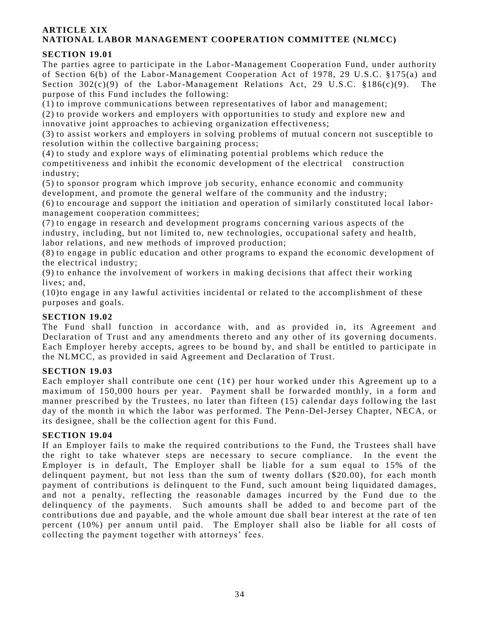# **ARTICLE XIX NATIONAL LABOR MANAGEMENT COOPERATION COMMITTEE (NLMCC)**

# **SECTION 19.01**

The parties agree to participate in the Labor-Management Cooperation Fund, under authority of Section 6(b) of the Labor-Management Cooperation Act of 1978, 29 U.S.C. §175(a) and Section  $302(c)(9)$  of the Labor-Management Relations Act, 29 U.S.C. §186(c)(9). The purpose of this Fund includes the following:

(1) to improve communications between representatives of labor and management;

(2) to provide workers and employers with opportun ities to study and explore new and innovative joint approaches to achieving organization effectiveness;

(3) to assist workers and employers in solving problems of mutual concern not susceptible to resolution within the collective bargaining process;

(4) to study and explore ways of eliminating potential problems which reduce the competitiveness and inhibit the economic development of the electrical construction industry;

(5) to sponsor program which improve job security, enhance economic and community development, and promote the general welfare of the community and the industry;

(6) to encourage and support the initiation and operation of similarly constituted local labormanagement cooperation committees;

(7) to engage in research and development programs concerning various aspects of the industry, including, but not limited to, new technologies, occupational safety and health, labor relations, and new methods of improved production;

(8) to engage in public education and other pr ograms to expand the economic development of the electrical industry;

 $(9)$  to enhance the involvement of workers in making decisions that affect their working lives; and,

 $(10)$ to engage in any lawful activities incidental or related to the accomplishment of these purposes and goals.

# **SECTION 19.02**

The Fund shall function in accordance with, and as provided in, its Agreement and Declaration of Trust and any amendments thereto and any other of its governing documents. Each Employer hereby accepts, agrees to be bound by, and shall be entitled to participate in the NLMCC, as provided in said Agreement and Declaration of Trust.

# **SECTION 19.03**

Each employer shall contribute one cent  $(1\phi)$  per hour worked under this Agreement up to a maximum of 150,000 hours per year. Payment shall be forwarded monthly, in a form and manner prescribed by the Trustees, no later than fifteen (15) calendar days following the last day of the month in which the labor was performed. The Penn-Del-Jersey Chapter, NECA, or its designee, shall be the collection agent for this Fund.

# **SECTION 19.04**

If an Employer fails to make the required contributions to the Fund, the Trustees shall have the right to take whatever steps are nece ssary to secure compliance. In the event the Employer is in default, The Employer shall be liable for a sum equal to 15% of the delinquent payment, but not less than the sum of twenty dollars (\$20.00), for each month payment of contributions is delinquent to the Fund, such amount being liquidated damages, and not a penalty, reflecting the reasonable damages incurred by the Fund due to the delinquency of the payments. Such amounts shall be added to and become part of the contributions due and payable, and the whole amount due shall bear interest at the rate of ten percent (10%) per annum until paid. The Employer shall also be liable for all costs of collecting the payment together with attorneys' fees.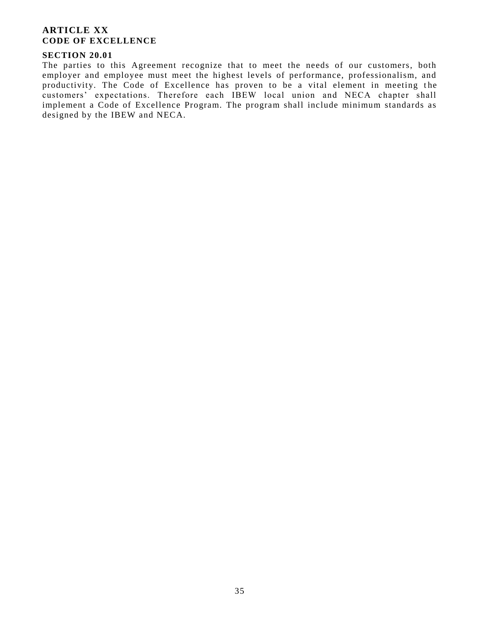# **ARTICLE XX CODE OF EXCELLENCE**

#### **SECTION 20.01**

The parties to this Agreement recognize that to meet the needs of our customers, both employer and employee must meet the highest levels of performance, professionalism, and productivity. The Code of Excellence has proven to be a vital element in meeting the customers' expectations. Therefore each IBEW local union and NECA chapter shall implement a Code of Excellence Program. The program shall include minimum standards as designed by the IBEW and NECA.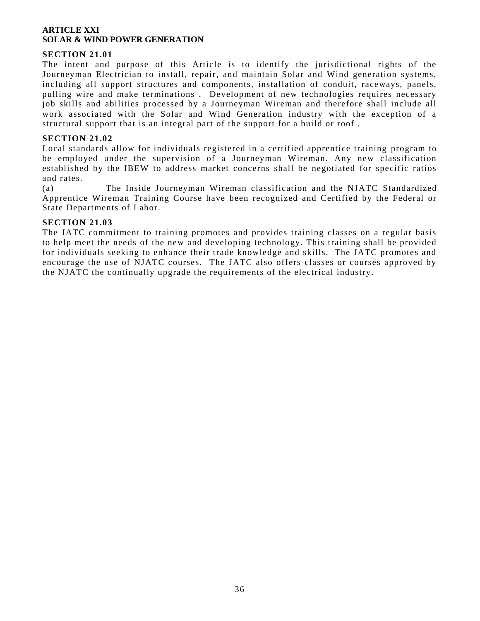#### **ARTICLE XXI SOLAR & WIND POWER GENERATION**

# **SECTION 21.01**

The intent and purpose of this Article is to identify the jurisdictional rights of the Journeyman Electrician to install, repair, and maintain Solar and Wind generation systems, including all support structures and components, installation of conduit, raceways, panels, pulling wire and make terminations . Development of new technologies requires necessary job skills and abilities processed by a Journeyman Wireman and therefore shall include all work associated with the Solar and Wind Generation industry with the exception of a structural support that is an integral part of the support for a build or roof .

#### **SECTION 21.02**

Local standards allow for individuals registered in a certified apprentice training program to be employed under the supervision of a Journeyman Wireman. Any new classification established by the IBEW to address market concerns shall be negotiated for specific ratios and rates.

(a) The Inside Journeyman Wireman classification and the NJATC Standardized Apprentice Wireman Training Course have been recognized and Certified by the Federal or State Departments of Labor.

### **SECTION 21.03**

The JATC commitment to training promotes and provides training classes on a regular basis to help meet the needs of the new and developing technology. This training shall be provided for individuals seeking to enhance their trade knowledge and skills. The JATC promotes and encourage the use of NJATC courses. The JATC also offers classes or courses approved by the NJATC the continually upgrade the requirements of the electrical industry.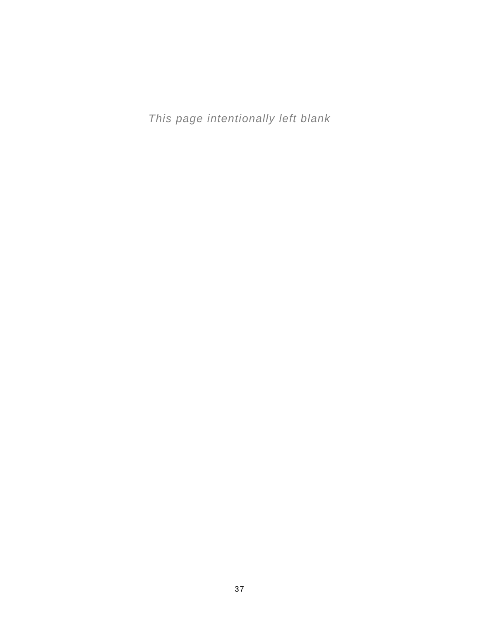*This page intentionally left blank*